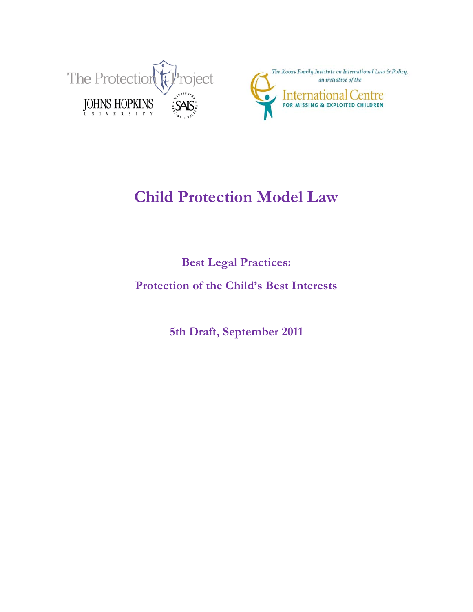



# **Child Protection Model Law**

**Best Legal Practices:** 

**Protection of the Child's Best Interests**

**5th Draft, September 2011**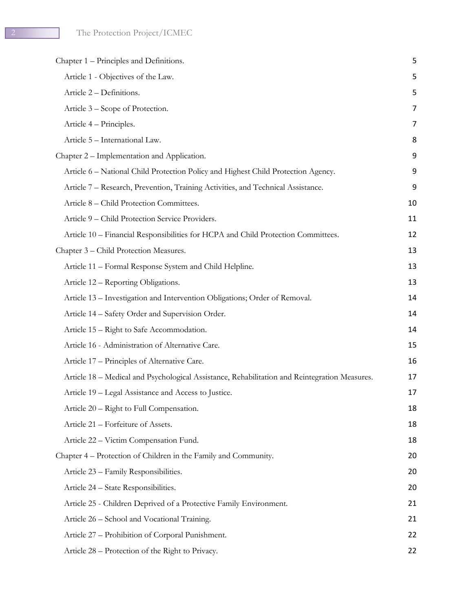| Chapter 1 – Principles and Definitions.                                                       | 5  |
|-----------------------------------------------------------------------------------------------|----|
| Article 1 - Objectives of the Law.                                                            | 5  |
| Article 2 - Definitions.                                                                      | 5  |
| Article 3 – Scope of Protection.                                                              | 7  |
| Article 4 – Principles.                                                                       | 7  |
| Article 5 - International Law.                                                                | 8  |
| Chapter 2 – Implementation and Application.                                                   | 9  |
| Article 6 - National Child Protection Policy and Highest Child Protection Agency.             | 9  |
| Article 7 – Research, Prevention, Training Activities, and Technical Assistance.              | 9  |
| Article 8 – Child Protection Committees.                                                      | 10 |
| Article 9 - Child Protection Service Providers.                                               | 11 |
| Article 10 - Financial Responsibilities for HCPA and Child Protection Committees.             | 12 |
| Chapter 3 – Child Protection Measures.                                                        | 13 |
| Article 11 - Formal Response System and Child Helpline.                                       | 13 |
| Article 12 – Reporting Obligations.                                                           | 13 |
| Article 13 - Investigation and Intervention Obligations; Order of Removal.                    | 14 |
| Article 14 - Safety Order and Supervision Order.                                              | 14 |
| Article 15 - Right to Safe Accommodation.                                                     | 14 |
| Article 16 - Administration of Alternative Care.                                              | 15 |
| Article 17 – Principles of Alternative Care.                                                  | 16 |
| Article 18 - Medical and Psychological Assistance, Rehabilitation and Reintegration Measures. | 17 |
| Article 19 - Legal Assistance and Access to Justice.                                          | 17 |
| Article 20 - Right to Full Compensation.                                                      | 18 |
| Article 21 - Forfeiture of Assets.                                                            | 18 |
| Article 22 – Victim Compensation Fund.                                                        | 18 |
| Chapter 4 – Protection of Children in the Family and Community.                               | 20 |
| Article 23 - Family Responsibilities.                                                         | 20 |
| Article 24 – State Responsibilities.                                                          | 20 |
| Article 25 - Children Deprived of a Protective Family Environment.                            | 21 |
| Article 26 - School and Vocational Training.                                                  | 21 |
| Article 27 – Prohibition of Corporal Punishment.                                              | 22 |
| Article 28 – Protection of the Right to Privacy.                                              | 22 |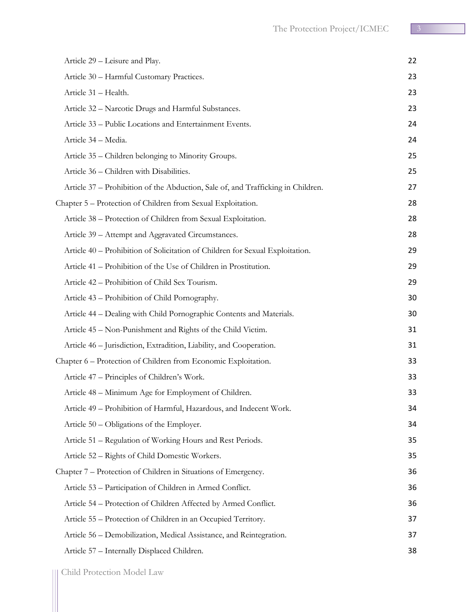| Article 29 - Leisure and Play.                                                   | 22 |
|----------------------------------------------------------------------------------|----|
| Article 30 - Harmful Customary Practices.                                        | 23 |
| Article 31 - Health.                                                             | 23 |
| Article 32 - Narcotic Drugs and Harmful Substances.                              | 23 |
| Article 33 - Public Locations and Entertainment Events.                          | 24 |
| Article 34 - Media.                                                              | 24 |
| Article 35 – Children belonging to Minority Groups.                              | 25 |
| Article 36 – Children with Disabilities.                                         | 25 |
| Article 37 – Prohibition of the Abduction, Sale of, and Trafficking in Children. | 27 |
| Chapter 5 – Protection of Children from Sexual Exploitation.                     | 28 |
| Article 38 – Protection of Children from Sexual Exploitation.                    | 28 |
| Article 39 – Attempt and Aggravated Circumstances.                               | 28 |
| Article 40 – Prohibition of Solicitation of Children for Sexual Exploitation.    | 29 |
| Article 41 – Prohibition of the Use of Children in Prostitution.                 | 29 |
| Article 42 – Prohibition of Child Sex Tourism.                                   | 29 |
| Article 43 – Prohibition of Child Pornography.                                   | 30 |
| Article 44 – Dealing with Child Pornographic Contents and Materials.             | 30 |
| Article 45 - Non-Punishment and Rights of the Child Victim.                      | 31 |
| Article 46 - Jurisdiction, Extradition, Liability, and Cooperation.              | 31 |
| Chapter 6 – Protection of Children from Economic Exploitation.                   | 33 |
| Article 47 – Principles of Children's Work.                                      | 33 |
| Article 48 – Minimum Age for Employment of Children.                             | 33 |
| Article 49 – Prohibition of Harmful, Hazardous, and Indecent Work.               | 34 |
| Article 50 – Obligations of the Employer.                                        | 34 |
| Article 51 – Regulation of Working Hours and Rest Periods.                       | 35 |
| Article 52 - Rights of Child Domestic Workers.                                   | 35 |
| Chapter 7 – Protection of Children in Situations of Emergency.                   | 36 |
| Article 53 - Participation of Children in Armed Conflict.                        | 36 |
| Article 54 – Protection of Children Affected by Armed Conflict.                  | 36 |
| Article 55 – Protection of Children in an Occupied Territory.                    | 37 |
| Article 56 – Demobilization, Medical Assistance, and Reintegration.              | 37 |
| Article 57 - Internally Displaced Children.                                      | 38 |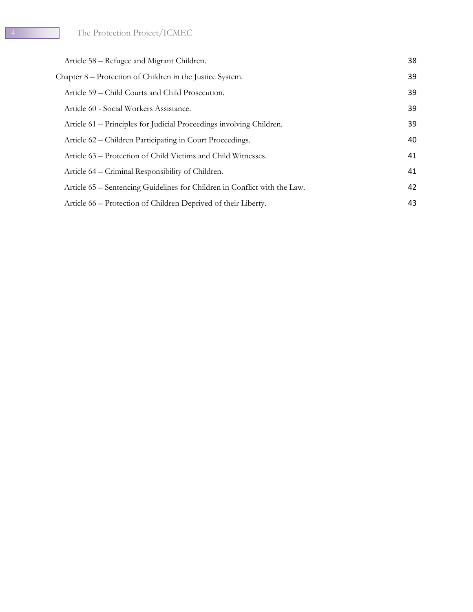| Article 58 – Refugee and Migrant Children.                                | 38 |
|---------------------------------------------------------------------------|----|
| Chapter 8 – Protection of Children in the Justice System.                 | 39 |
| Article 59 – Child Courts and Child Prosecution.                          | 39 |
| Article 60 - Social Workers Assistance.                                   | 39 |
| Article 61 – Principles for Judicial Proceedings involving Children.      | 39 |
| Article 62 – Children Participating in Court Proceedings.                 | 40 |
| Article 63 – Protection of Child Victims and Child Witnesses.             | 41 |
| Article 64 – Criminal Responsibility of Children.                         | 41 |
| Article 65 – Sentencing Guidelines for Children in Conflict with the Law. | 42 |
| Article 66 – Protection of Children Deprived of their Liberty.            | 43 |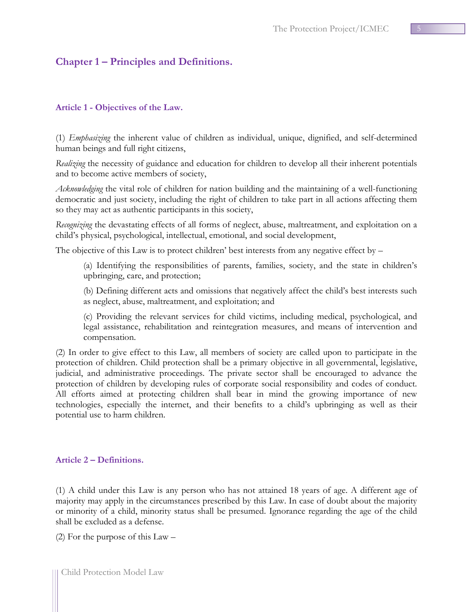## <span id="page-4-0"></span>**Chapter 1 – Principles and Definitions.**

#### <span id="page-4-1"></span>**Article 1 - Objectives of the Law.**

(1) *Emphasizing* the inherent value of children as individual, unique, dignified, and self-determined human beings and full right citizens,

*Realizing* the necessity of guidance and education for children to develop all their inherent potentials and to become active members of society,

*Acknowledging* the vital role of children for nation building and the maintaining of a well-functioning democratic and just society, including the right of children to take part in all actions affecting them so they may act as authentic participants in this society,

*Recognizing* the devastating effects of all forms of neglect, abuse, maltreatment, and exploitation on a child's physical, psychological, intellectual, emotional, and social development,

The objective of this Law is to protect children' best interests from any negative effect by –

(a) Identifying the responsibilities of parents, families, society, and the state in children's upbringing, care, and protection;

(b) Defining different acts and omissions that negatively affect the child's best interests such as neglect, abuse, maltreatment, and exploitation; and

(c) Providing the relevant services for child victims, including medical, psychological, and legal assistance, rehabilitation and reintegration measures, and means of intervention and compensation.

(2) In order to give effect to this Law, all members of society are called upon to participate in the protection of children. Child protection shall be a primary objective in all governmental, legislative, judicial, and administrative proceedings. The private sector shall be encouraged to advance the protection of children by developing rules of corporate social responsibility and codes of conduct. All efforts aimed at protecting children shall bear in mind the growing importance of new technologies, especially the internet, and their benefits to a child's upbringing as well as their potential use to harm children.

#### <span id="page-4-2"></span>**Article 2 – Definitions.**

(1) A child under this Law is any person who has not attained 18 years of age. A different age of majority may apply in the circumstances prescribed by this Law. In case of doubt about the majority or minority of a child, minority status shall be presumed. Ignorance regarding the age of the child shall be excluded as a defense.

(2) For the purpose of this Law –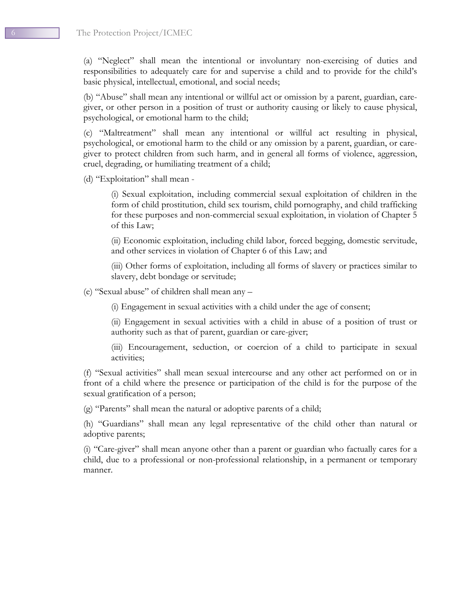(a) "Neglect" shall mean the intentional or involuntary non-exercising of duties and responsibilities to adequately care for and supervise a child and to provide for the child's basic physical, intellectual, emotional, and social needs;

(b) "Abuse" shall mean any intentional or willful act or omission by a parent, guardian, caregiver, or other person in a position of trust or authority causing or likely to cause physical, psychological, or emotional harm to the child;

(c) "Maltreatment" shall mean any intentional or willful act resulting in physical, psychological, or emotional harm to the child or any omission by a parent, guardian, or caregiver to protect children from such harm, and in general all forms of violence, aggression, cruel, degrading, or humiliating treatment of a child;

(d) "Exploitation" shall mean -

(i) Sexual exploitation, including commercial sexual exploitation of children in the form of child prostitution, child sex tourism, child pornography, and child trafficking for these purposes and non-commercial sexual exploitation, in violation of Chapter 5 of this Law;

(ii) Economic exploitation, including child labor, forced begging, domestic servitude, and other services in violation of Chapter 6 of this Law; and

(iii) Other forms of exploitation, including all forms of slavery or practices similar to slavery, debt bondage or servitude;

(e) "Sexual abuse" of children shall mean any –

(i) Engagement in sexual activities with a child under the age of consent;

(ii) Engagement in sexual activities with a child in abuse of a position of trust or authority such as that of parent, guardian or care-giver;

(iii) Encouragement, seduction, or coercion of a child to participate in sexual activities;

(f) "Sexual activities" shall mean sexual intercourse and any other act performed on or in front of a child where the presence or participation of the child is for the purpose of the sexual gratification of a person;

(g) "Parents" shall mean the natural or adoptive parents of a child;

(h) "Guardians" shall mean any legal representative of the child other than natural or adoptive parents;

(i) "Care-giver" shall mean anyone other than a parent or guardian who factually cares for a child, due to a professional or non-professional relationship, in a permanent or temporary manner.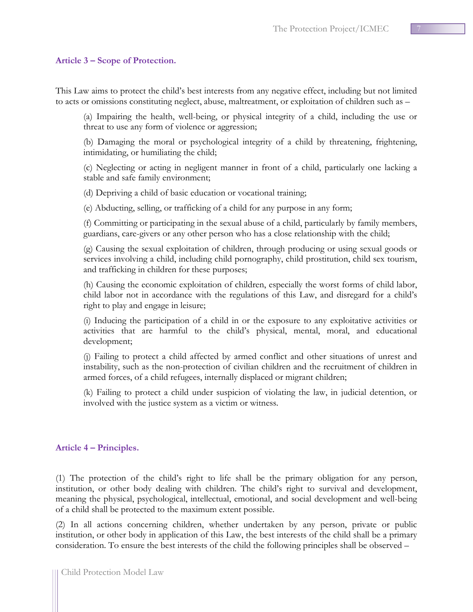#### <span id="page-6-0"></span>**Article 3 – Scope of Protection.**

This Law aims to protect the child's best interests from any negative effect, including but not limited to acts or omissions constituting neglect, abuse, maltreatment, or exploitation of children such as –

(a) Impairing the health, well-being, or physical integrity of a child, including the use or threat to use any form of violence or aggression;

(b) Damaging the moral or psychological integrity of a child by threatening, frightening, intimidating, or humiliating the child;

(c) Neglecting or acting in negligent manner in front of a child, particularly one lacking a stable and safe family environment;

(d) Depriving a child of basic education or vocational training;

(e) Abducting, selling, or trafficking of a child for any purpose in any form;

(f) Committing or participating in the sexual abuse of a child, particularly by family members, guardians, care-givers or any other person who has a close relationship with the child;

(g) Causing the sexual exploitation of children, through producing or using sexual goods or services involving a child, including child pornography, child prostitution, child sex tourism, and trafficking in children for these purposes;

(h) Causing the economic exploitation of children, especially the worst forms of child labor, child labor not in accordance with the regulations of this Law, and disregard for a child's right to play and engage in leisure;

(i) Inducing the participation of a child in or the exposure to any exploitative activities or activities that are harmful to the child's physical, mental, moral, and educational development;

(j) Failing to protect a child affected by armed conflict and other situations of unrest and instability, such as the non-protection of civilian children and the recruitment of children in armed forces, of a child refugees, internally displaced or migrant children;

(k) Failing to protect a child under suspicion of violating the law, in judicial detention, or involved with the justice system as a victim or witness.

#### <span id="page-6-1"></span>**Article 4 – Principles.**

(1) The protection of the child's right to life shall be the primary obligation for any person, institution, or other body dealing with children. The child's right to survival and development, meaning the physical, psychological, intellectual, emotional, and social development and well-being of a child shall be protected to the maximum extent possible.

(2) In all actions concerning children, whether undertaken by any person, private or public institution, or other body in application of this Law, the best interests of the child shall be a primary consideration. To ensure the best interests of the child the following principles shall be observed –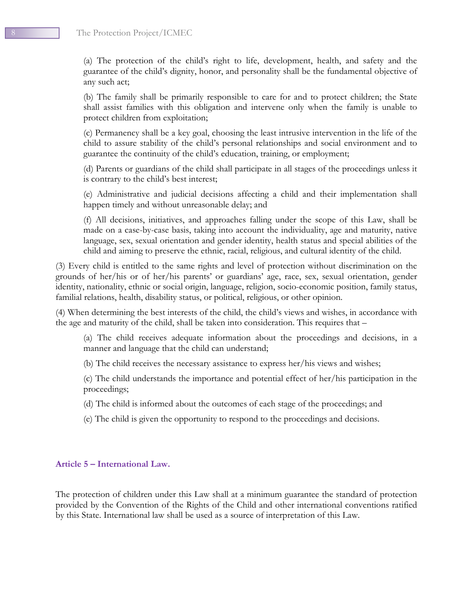The Protection Project/ICMEC

(a) The protection of the child's right to life, development, health, and safety and the guarantee of the child's dignity, honor, and personality shall be the fundamental objective of any such act;

(b) The family shall be primarily responsible to care for and to protect children; the State shall assist families with this obligation and intervene only when the family is unable to protect children from exploitation;

(c) Permanency shall be a key goal, choosing the least intrusive intervention in the life of the child to assure stability of the child's personal relationships and social environment and to guarantee the continuity of the child's education, training, or employment;

(d) Parents or guardians of the child shall participate in all stages of the proceedings unless it is contrary to the child's best interest;

(e) Administrative and judicial decisions affecting a child and their implementation shall happen timely and without unreasonable delay; and

(f) All decisions, initiatives, and approaches falling under the scope of this Law, shall be made on a case-by-case basis, taking into account the individuality, age and maturity, native language, sex, sexual orientation and gender identity, health status and special abilities of the child and aiming to preserve the ethnic, racial, religious, and cultural identity of the child.

(3) Every child is entitled to the same rights and level of protection without discrimination on the grounds of her/his or of her/his parents' or guardians' age, race, sex, sexual orientation, gender identity, nationality, ethnic or social origin, language, religion, socio-economic position, family status, familial relations, health, disability status, or political, religious, or other opinion.

(4) When determining the best interests of the child, the child's views and wishes, in accordance with the age and maturity of the child, shall be taken into consideration. This requires that –

(a) The child receives adequate information about the proceedings and decisions, in a manner and language that the child can understand;

(b) The child receives the necessary assistance to express her/his views and wishes;

(c) The child understands the importance and potential effect of her/his participation in the proceedings;

(d) The child is informed about the outcomes of each stage of the proceedings; and

(e) The child is given the opportunity to respond to the proceedings and decisions.

## <span id="page-7-0"></span>**Article 5 – International Law.**

The protection of children under this Law shall at a minimum guarantee the standard of protection provided by the Convention of the Rights of the Child and other international conventions ratified by this State. International law shall be used as a source of interpretation of this Law.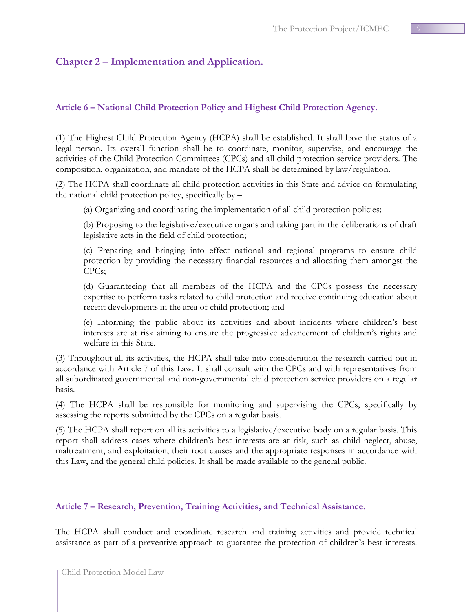## <span id="page-8-0"></span>**Chapter 2 – Implementation and Application.**

## <span id="page-8-1"></span>**Article 6 – National Child Protection Policy and Highest Child Protection Agency.**

(1) The Highest Child Protection Agency (HCPA) shall be established. It shall have the status of a legal person. Its overall function shall be to coordinate, monitor, supervise, and encourage the activities of the Child Protection Committees (CPCs) and all child protection service providers. The composition, organization, and mandate of the HCPA shall be determined by law/regulation.

(2) The HCPA shall coordinate all child protection activities in this State and advice on formulating the national child protection policy, specifically by –

(a) Organizing and coordinating the implementation of all child protection policies;

(b) Proposing to the legislative/executive organs and taking part in the deliberations of draft legislative acts in the field of child protection;

(c) Preparing and bringing into effect national and regional programs to ensure child protection by providing the necessary financial resources and allocating them amongst the CPCs;

(d) Guaranteeing that all members of the HCPA and the CPCs possess the necessary expertise to perform tasks related to child protection and receive continuing education about recent developments in the area of child protection; and

(e) Informing the public about its activities and about incidents where children's best interests are at risk aiming to ensure the progressive advancement of children's rights and welfare in this State.

(3) Throughout all its activities, the HCPA shall take into consideration the research carried out in accordance with Article 7 of this Law. It shall consult with the CPCs and with representatives from all subordinated governmental and non-governmental child protection service providers on a regular basis.

(4) The HCPA shall be responsible for monitoring and supervising the CPCs, specifically by assessing the reports submitted by the CPCs on a regular basis.

(5) The HCPA shall report on all its activities to a legislative/executive body on a regular basis. This report shall address cases where children's best interests are at risk, such as child neglect, abuse, maltreatment, and exploitation, their root causes and the appropriate responses in accordance with this Law, and the general child policies. It shall be made available to the general public.

## <span id="page-8-2"></span>**Article 7 – Research, Prevention, Training Activities, and Technical Assistance.**

The HCPA shall conduct and coordinate research and training activities and provide technical assistance as part of a preventive approach to guarantee the protection of children's best interests.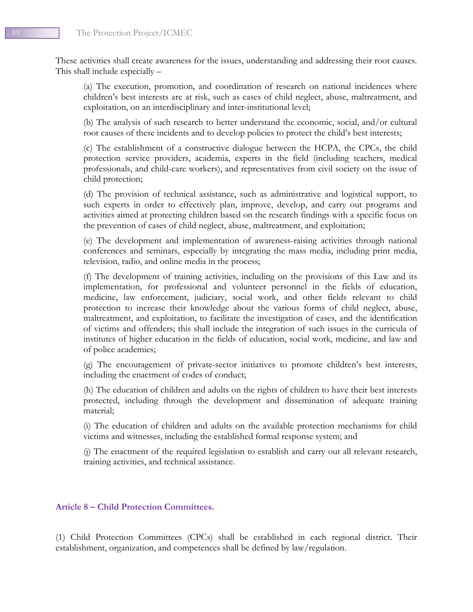These activities shall create awareness for the issues, understanding and addressing their root causes. This shall include especially –

(a) The execution, promotion, and coordination of research on national incidences where children's best interests are at risk, such as cases of child neglect, abuse, maltreatment, and exploitation, on an interdisciplinary and inter-institutional level;

(b) The analysis of such research to better understand the economic, social, and/or cultural root causes of these incidents and to develop policies to protect the child's best interests;

(c) The establishment of a constructive dialogue between the HCPA, the CPCs, the child protection service providers, academia, experts in the field (including teachers, medical professionals, and child-care workers), and representatives from civil society on the issue of child protection;

(d) The provision of technical assistance, such as administrative and logistical support, to such experts in order to effectively plan, improve, develop, and carry out programs and activities aimed at protecting children based on the research findings with a specific focus on the prevention of cases of child neglect, abuse, maltreatment, and exploitation;

(e) The development and implementation of awareness-raising activities through national conferences and seminars, especially by integrating the mass media, including print media, television, radio, and online media in the process;

(f) The development of training activities, including on the provisions of this Law and its implementation, for professional and volunteer personnel in the fields of education, medicine, law enforcement, judiciary, social work, and other fields relevant to child protection to increase their knowledge about the various forms of child neglect, abuse, maltreatment, and exploitation, to facilitate the investigation of cases, and the identification of victims and offenders; this shall include the integration of such issues in the curricula of institutes of higher education in the fields of education, social work, medicine, and law and of police academies;

(g) The encouragement of private-sector initiatives to promote children's best interests, including the enactment of codes of conduct;

(h) The education of children and adults on the rights of children to have their best interests protected, including through the development and dissemination of adequate training material;

(i) The education of children and adults on the available protection mechanisms for child victims and witnesses, including the established formal response system; and

(j) The enactment of the required legislation to establish and carry out all relevant research, training activities, and technical assistance.

#### <span id="page-9-0"></span>**Article 8 – Child Protection Committees.**

(1) Child Protection Committees (CPCs) shall be established in each regional district. Their establishment, organization, and competences shall be defined by law/regulation.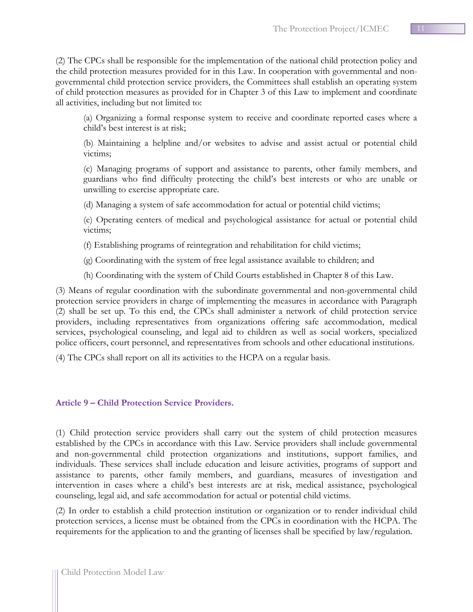(2) The CPCs shall be responsible for the implementation of the national child protection policy and the child protection measures provided for in this Law. In cooperation with governmental and nongovernmental child protection service providers, the Committees shall establish an operating system of child protection measures as provided for in Chapter 3 of this Law to implement and coordinate all activities, including but not limited to:

(a) Organizing a formal response system to receive and coordinate reported cases where a child's best interest is at risk;

(b) Maintaining a helpline and/or websites to advise and assist actual or potential child victims;

(c) Managing programs of support and assistance to parents, other family members, and guardians who find difficulty protecting the child's best interests or who are unable or unwilling to exercise appropriate care.

(d) Managing a system of safe accommodation for actual or potential child victims;

(e) Operating centers of medical and psychological assistance for actual or potential child victims;

(f) Establishing programs of reintegration and rehabilitation for child victims;

(g) Coordinating with the system of free legal assistance available to children; and

(h) Coordinating with the system of Child Courts established in Chapter 8 of this Law.

(3) Means of regular coordination with the subordinate governmental and non-governmental child protection service providers in charge of implementing the measures in accordance with Paragraph (2) shall be set up. To this end, the CPCs shall administer a network of child protection service providers, including representatives from organizations offering safe accommodation, medical services, psychological counseling, and legal aid to children as well as social workers, specialized police officers, court personnel, and representatives from schools and other educational institutions.

(4) The CPCs shall report on all its activities to the HCPA on a regular basis.

## <span id="page-10-0"></span>**Article 9 – Child Protection Service Providers.**

(1) Child protection service providers shall carry out the system of child protection measures established by the CPCs in accordance with this Law. Service providers shall include governmental and non-governmental child protection organizations and institutions, support families, and individuals. These services shall include education and leisure activities, programs of support and assistance to parents, other family members, and guardians, measures of investigation and intervention in cases where a child's best interests are at risk, medical assistance, psychological counseling, legal aid, and safe accommodation for actual or potential child victims.

(2) In order to establish a child protection institution or organization or to render individual child protection services, a license must be obtained from the CPCs in coordination with the HCPA. The requirements for the application to and the granting of licenses shall be specified by law/regulation.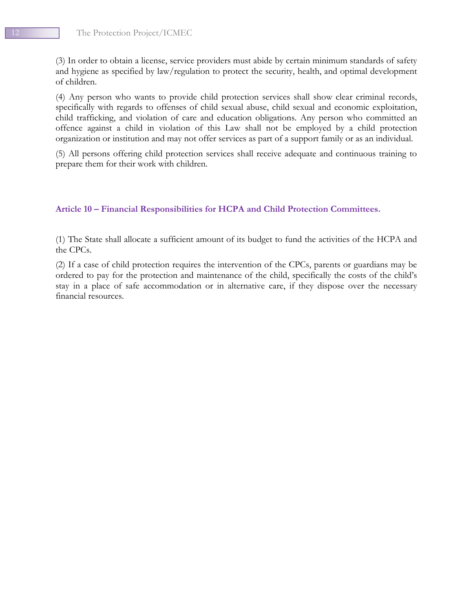(3) In order to obtain a license, service providers must abide by certain minimum standards of safety and hygiene as specified by law/regulation to protect the security, health, and optimal development of children.

(4) Any person who wants to provide child protection services shall show clear criminal records, specifically with regards to offenses of child sexual abuse, child sexual and economic exploitation, child trafficking, and violation of care and education obligations. Any person who committed an offence against a child in violation of this Law shall not be employed by a child protection organization or institution and may not offer services as part of a support family or as an individual.

(5) All persons offering child protection services shall receive adequate and continuous training to prepare them for their work with children.

#### <span id="page-11-0"></span>**Article 10 – Financial Responsibilities for HCPA and Child Protection Committees.**

(1) The State shall allocate a sufficient amount of its budget to fund the activities of the HCPA and the CPCs.

(2) If a case of child protection requires the intervention of the CPCs, parents or guardians may be ordered to pay for the protection and maintenance of the child, specifically the costs of the child's stay in a place of safe accommodation or in alternative care, if they dispose over the necessary financial resources.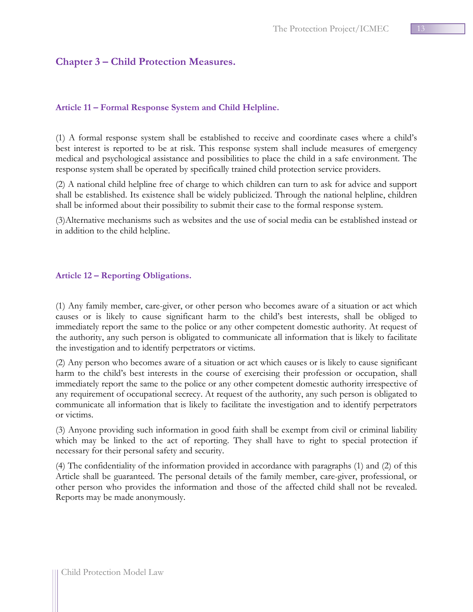## <span id="page-12-0"></span>**Chapter 3 – Child Protection Measures.**

#### <span id="page-12-1"></span>**Article 11 – Formal Response System and Child Helpline.**

(1) A formal response system shall be established to receive and coordinate cases where a child's best interest is reported to be at risk. This response system shall include measures of emergency medical and psychological assistance and possibilities to place the child in a safe environment. The response system shall be operated by specifically trained child protection service providers.

(2) A national child helpline free of charge to which children can turn to ask for advice and support shall be established. Its existence shall be widely publicized. Through the national helpline, children shall be informed about their possibility to submit their case to the formal response system.

(3)Alternative mechanisms such as websites and the use of social media can be established instead or in addition to the child helpline.

#### <span id="page-12-2"></span>**Article 12 – Reporting Obligations.**

(1) Any family member, care-giver, or other person who becomes aware of a situation or act which causes or is likely to cause significant harm to the child's best interests, shall be obliged to immediately report the same to the police or any other competent domestic authority. At request of the authority, any such person is obligated to communicate all information that is likely to facilitate the investigation and to identify perpetrators or victims.

(2) Any person who becomes aware of a situation or act which causes or is likely to cause significant harm to the child's best interests in the course of exercising their profession or occupation, shall immediately report the same to the police or any other competent domestic authority irrespective of any requirement of occupational secrecy. At request of the authority, any such person is obligated to communicate all information that is likely to facilitate the investigation and to identify perpetrators or victims.

(3) Anyone providing such information in good faith shall be exempt from civil or criminal liability which may be linked to the act of reporting. They shall have to right to special protection if necessary for their personal safety and security.

(4) The confidentiality of the information provided in accordance with paragraphs (1) and (2) of this Article shall be guaranteed. The personal details of the family member, care-giver, professional, or other person who provides the information and those of the affected child shall not be revealed. Reports may be made anonymously.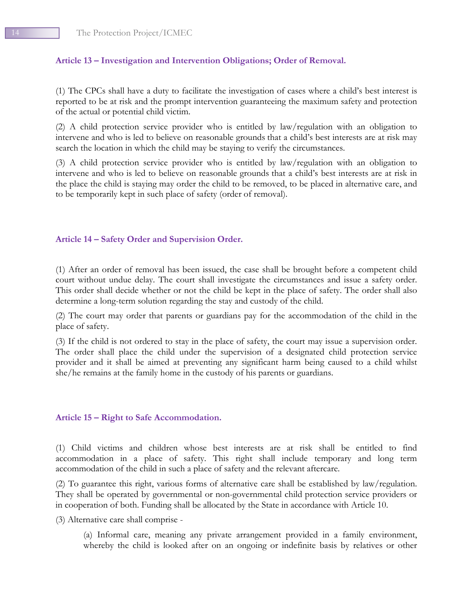## <span id="page-13-0"></span>**Article 13 – Investigation and Intervention Obligations; Order of Removal.**

(1) The CPCs shall have a duty to facilitate the investigation of cases where a child's best interest is reported to be at risk and the prompt intervention guaranteeing the maximum safety and protection of the actual or potential child victim.

(2) A child protection service provider who is entitled by law/regulation with an obligation to intervene and who is led to believe on reasonable grounds that a child's best interests are at risk may search the location in which the child may be staying to verify the circumstances.

(3) A child protection service provider who is entitled by law/regulation with an obligation to intervene and who is led to believe on reasonable grounds that a child's best interests are at risk in the place the child is staying may order the child to be removed, to be placed in alternative care, and to be temporarily kept in such place of safety (order of removal).

## <span id="page-13-1"></span>**Article 14 – Safety Order and Supervision Order.**

(1) After an order of removal has been issued, the case shall be brought before a competent child court without undue delay. The court shall investigate the circumstances and issue a safety order. This order shall decide whether or not the child be kept in the place of safety. The order shall also determine a long-term solution regarding the stay and custody of the child.

(2) The court may order that parents or guardians pay for the accommodation of the child in the place of safety.

(3) If the child is not ordered to stay in the place of safety, the court may issue a supervision order. The order shall place the child under the supervision of a designated child protection service provider and it shall be aimed at preventing any significant harm being caused to a child whilst she/he remains at the family home in the custody of his parents or guardians.

## <span id="page-13-2"></span>**Article 15 – Right to Safe Accommodation.**

(1) Child victims and children whose best interests are at risk shall be entitled to find accommodation in a place of safety. This right shall include temporary and long term accommodation of the child in such a place of safety and the relevant aftercare.

(2) To guarantee this right, various forms of alternative care shall be established by law/regulation. They shall be operated by governmental or non-governmental child protection service providers or in cooperation of both. Funding shall be allocated by the State in accordance with Article 10.

(3) Alternative care shall comprise -

(a) Informal care, meaning any private arrangement provided in a family environment, whereby the child is looked after on an ongoing or indefinite basis by relatives or other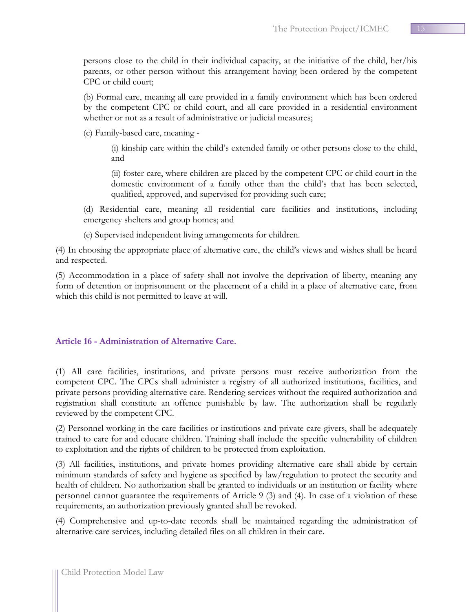persons close to the child in their individual capacity, at the initiative of the child, her/his parents, or other person without this arrangement having been ordered by the competent CPC or child court;

(b) Formal care, meaning all care provided in a family environment which has been ordered by the competent CPC or child court, and all care provided in a residential environment whether or not as a result of administrative or judicial measures;

(c) Family-based care, meaning -

(i) kinship care within the child's extended family or other persons close to the child, and

(ii) foster care, where children are placed by the competent CPC or child court in the domestic environment of a family other than the child's that has been selected, qualified, approved, and supervised for providing such care;

(d) Residential care, meaning all residential care facilities and institutions, including emergency shelters and group homes; and

(e) Supervised independent living arrangements for children.

(4) In choosing the appropriate place of alternative care, the child's views and wishes shall be heard and respected.

(5) Accommodation in a place of safety shall not involve the deprivation of liberty, meaning any form of detention or imprisonment or the placement of a child in a place of alternative care, from which this child is not permitted to leave at will.

## <span id="page-14-0"></span>**Article 16 - Administration of Alternative Care.**

(1) All care facilities, institutions, and private persons must receive authorization from the competent CPC. The CPCs shall administer a registry of all authorized institutions, facilities, and private persons providing alternative care. Rendering services without the required authorization and registration shall constitute an offence punishable by law. The authorization shall be regularly reviewed by the competent CPC.

(2) Personnel working in the care facilities or institutions and private care-givers, shall be adequately trained to care for and educate children. Training shall include the specific vulnerability of children to exploitation and the rights of children to be protected from exploitation.

(3) All facilities, institutions, and private homes providing alternative care shall abide by certain minimum standards of safety and hygiene as specified by law/regulation to protect the security and health of children. No authorization shall be granted to individuals or an institution or facility where personnel cannot guarantee the requirements of Article 9 (3) and (4). In case of a violation of these requirements, an authorization previously granted shall be revoked.

(4) Comprehensive and up-to-date records shall be maintained regarding the administration of alternative care services, including detailed files on all children in their care.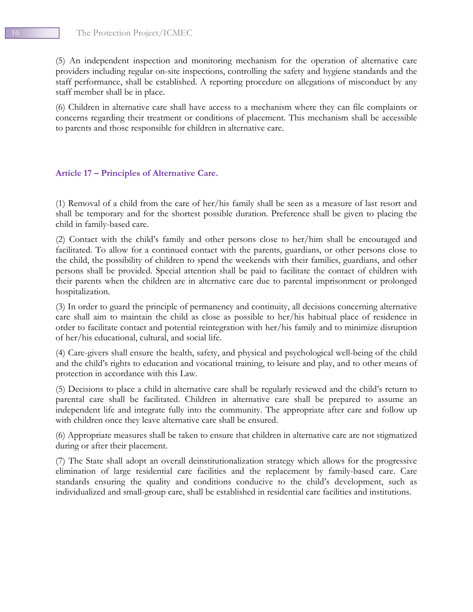(5) An independent inspection and monitoring mechanism for the operation of alternative care providers including regular on-site inspections, controlling the safety and hygiene standards and the staff performance, shall be established. A reporting procedure on allegations of misconduct by any staff member shall be in place.

(6) Children in alternative care shall have access to a mechanism where they can file complaints or concerns regarding their treatment or conditions of placement. This mechanism shall be accessible to parents and those responsible for children in alternative care.

#### <span id="page-15-0"></span>**Article 17 – Principles of Alternative Care.**

(1) Removal of a child from the care of her/his family shall be seen as a measure of last resort and shall be temporary and for the shortest possible duration. Preference shall be given to placing the child in family-based care.

(2) Contact with the child's family and other persons close to her/him shall be encouraged and facilitated. To allow for a continued contact with the parents, guardians, or other persons close to the child, the possibility of children to spend the weekends with their families, guardians, and other persons shall be provided. Special attention shall be paid to facilitate the contact of children with their parents when the children are in alternative care due to parental imprisonment or prolonged hospitalization.

(3) In order to guard the principle of permanency and continuity, all decisions concerning alternative care shall aim to maintain the child as close as possible to her/his habitual place of residence in order to facilitate contact and potential reintegration with her/his family and to minimize disruption of her/his educational, cultural, and social life.

(4) Care-givers shall ensure the health, safety, and physical and psychological well-being of the child and the child's rights to education and vocational training, to leisure and play, and to other means of protection in accordance with this Law.

(5) Decisions to place a child in alternative care shall be regularly reviewed and the child's return to parental care shall be facilitated. Children in alternative care shall be prepared to assume an independent life and integrate fully into the community. The appropriate after care and follow up with children once they leave alternative care shall be ensured.

(6) Appropriate measures shall be taken to ensure that children in alternative care are not stigmatized during or after their placement.

(7) The State shall adopt an overall deinstitutionalization strategy which allows for the progressive elimination of large residential care facilities and the replacement by family-based care. Care standards ensuring the quality and conditions conducive to the child's development, such as individualized and small-group care, shall be established in residential care facilities and institutions.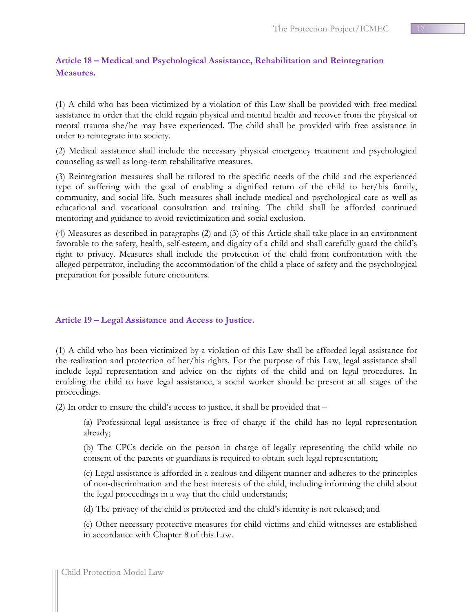## <span id="page-16-0"></span>**Article 18 – Medical and Psychological Assistance, Rehabilitation and Reintegration Measures.**

(1) A child who has been victimized by a violation of this Law shall be provided with free medical assistance in order that the child regain physical and mental health and recover from the physical or mental trauma she/he may have experienced. The child shall be provided with free assistance in order to reintegrate into society.

(2) Medical assistance shall include the necessary physical emergency treatment and psychological counseling as well as long-term rehabilitative measures.

(3) Reintegration measures shall be tailored to the specific needs of the child and the experienced type of suffering with the goal of enabling a dignified return of the child to her/his family, community, and social life. Such measures shall include medical and psychological care as well as educational and vocational consultation and training. The child shall be afforded continued mentoring and guidance to avoid revictimization and social exclusion.

(4) Measures as described in paragraphs (2) and (3) of this Article shall take place in an environment favorable to the safety, health, self-esteem, and dignity of a child and shall carefully guard the child's right to privacy. Measures shall include the protection of the child from confrontation with the alleged perpetrator, including the accommodation of the child a place of safety and the psychological preparation for possible future encounters.

## <span id="page-16-1"></span>**Article 19 – Legal Assistance and Access to Justice.**

(1) A child who has been victimized by a violation of this Law shall be afforded legal assistance for the realization and protection of her/his rights. For the purpose of this Law, legal assistance shall include legal representation and advice on the rights of the child and on legal procedures. In enabling the child to have legal assistance, a social worker should be present at all stages of the proceedings.

(2) In order to ensure the child's access to justice, it shall be provided that –

(a) Professional legal assistance is free of charge if the child has no legal representation already;

(b) The CPCs decide on the person in charge of legally representing the child while no consent of the parents or guardians is required to obtain such legal representation;

(c) Legal assistance is afforded in a zealous and diligent manner and adheres to the principles of non-discrimination and the best interests of the child, including informing the child about the legal proceedings in a way that the child understands;

(d) The privacy of the child is protected and the child's identity is not released; and

(e) Other necessary protective measures for child victims and child witnesses are established in accordance with Chapter 8 of this Law.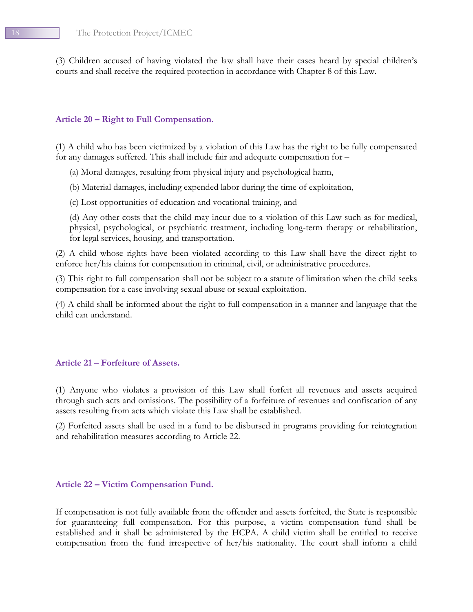(3) Children accused of having violated the law shall have their cases heard by special children's courts and shall receive the required protection in accordance with Chapter 8 of this Law.

#### <span id="page-17-0"></span>**Article 20 – Right to Full Compensation.**

(1) A child who has been victimized by a violation of this Law has the right to be fully compensated for any damages suffered. This shall include fair and adequate compensation for –

- (a) Moral damages, resulting from physical injury and psychological harm,
- (b) Material damages, including expended labor during the time of exploitation,
- (c) Lost opportunities of education and vocational training, and

(d) Any other costs that the child may incur due to a violation of this Law such as for medical, physical, psychological, or psychiatric treatment, including long-term therapy or rehabilitation, for legal services, housing, and transportation.

(2) A child whose rights have been violated according to this Law shall have the direct right to enforce her/his claims for compensation in criminal, civil, or administrative procedures.

(3) This right to full compensation shall not be subject to a statute of limitation when the child seeks compensation for a case involving sexual abuse or sexual exploitation.

(4) A child shall be informed about the right to full compensation in a manner and language that the child can understand.

#### <span id="page-17-1"></span>**Article 21 – Forfeiture of Assets.**

(1) Anyone who violates a provision of this Law shall forfeit all revenues and assets acquired through such acts and omissions. The possibility of a forfeiture of revenues and confiscation of any assets resulting from acts which violate this Law shall be established.

(2) Forfeited assets shall be used in a fund to be disbursed in programs providing for reintegration and rehabilitation measures according to Article 22.

#### <span id="page-17-2"></span>**Article 22 – Victim Compensation Fund.**

If compensation is not fully available from the offender and assets forfeited, the State is responsible for guaranteeing full compensation. For this purpose, a victim compensation fund shall be established and it shall be administered by the HCPA. A child victim shall be entitled to receive compensation from the fund irrespective of her/his nationality. The court shall inform a child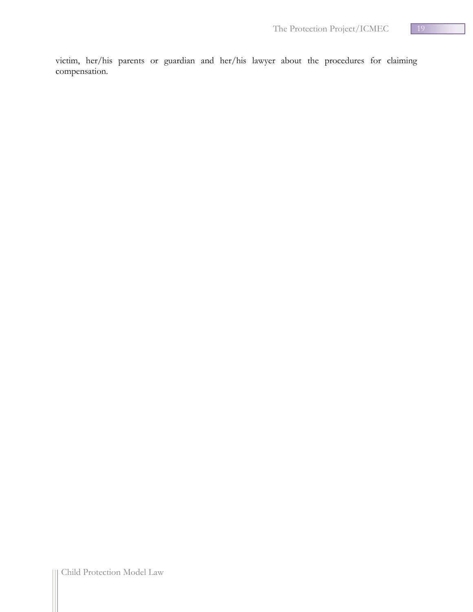victim, her/his parents or guardian and her/his lawyer about the procedures for claiming compensation.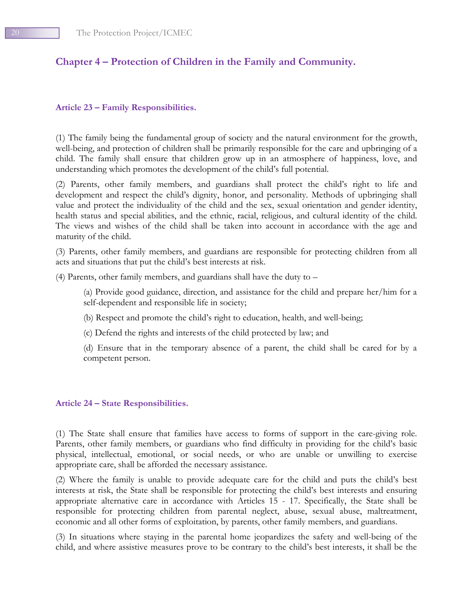# <span id="page-19-0"></span>**Chapter 4 – Protection of Children in the Family and Community.**

## <span id="page-19-1"></span>**Article 23 – Family Responsibilities.**

(1) The family being the fundamental group of society and the natural environment for the growth, well-being, and protection of children shall be primarily responsible for the care and upbringing of a child. The family shall ensure that children grow up in an atmosphere of happiness, love, and understanding which promotes the development of the child's full potential.

(2) Parents, other family members, and guardians shall protect the child's right to life and development and respect the child's dignity, honor, and personality. Methods of upbringing shall value and protect the individuality of the child and the sex, sexual orientation and gender identity, health status and special abilities, and the ethnic, racial, religious, and cultural identity of the child. The views and wishes of the child shall be taken into account in accordance with the age and maturity of the child.

(3) Parents, other family members, and guardians are responsible for protecting children from all acts and situations that put the child's best interests at risk.

(4) Parents, other family members, and guardians shall have the duty to –

(a) Provide good guidance, direction, and assistance for the child and prepare her/him for a self-dependent and responsible life in society;

- (b) Respect and promote the child's right to education, health, and well-being;
- (c) Defend the rights and interests of the child protected by law; and

(d) Ensure that in the temporary absence of a parent, the child shall be cared for by a competent person.

## <span id="page-19-2"></span>**Article 24 – State Responsibilities.**

(1) The State shall ensure that families have access to forms of support in the care-giving role. Parents, other family members, or guardians who find difficulty in providing for the child's basic physical, intellectual, emotional, or social needs, or who are unable or unwilling to exercise appropriate care, shall be afforded the necessary assistance.

(2) Where the family is unable to provide adequate care for the child and puts the child's best interests at risk, the State shall be responsible for protecting the child's best interests and ensuring appropriate alternative care in accordance with Articles 15 - 17. Specifically, the State shall be responsible for protecting children from parental neglect, abuse, sexual abuse, maltreatment, economic and all other forms of exploitation, by parents, other family members, and guardians.

(3) In situations where staying in the parental home jeopardizes the safety and well-being of the child, and where assistive measures prove to be contrary to the child's best interests, it shall be the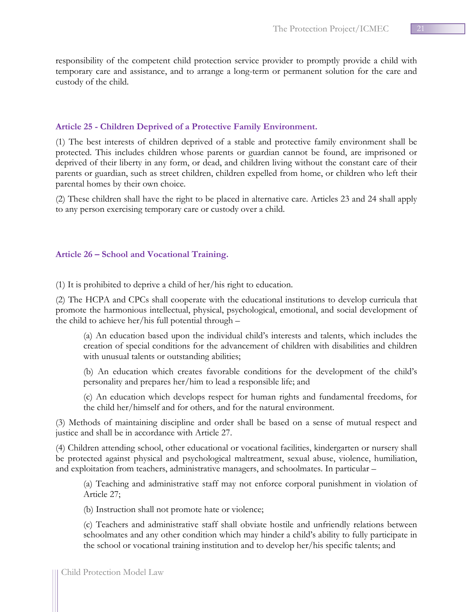responsibility of the competent child protection service provider to promptly provide a child with temporary care and assistance, and to arrange a long-term or permanent solution for the care and custody of the child.

## <span id="page-20-0"></span>**Article 25 - Children Deprived of a Protective Family Environment.**

(1) The best interests of children deprived of a stable and protective family environment shall be protected. This includes children whose parents or guardian cannot be found, are imprisoned or deprived of their liberty in any form, or dead, and children living without the constant care of their parents or guardian, such as street children, children expelled from home, or children who left their parental homes by their own choice.

(2) These children shall have the right to be placed in alternative care. Articles 23 and 24 shall apply to any person exercising temporary care or custody over a child.

## <span id="page-20-1"></span>**Article 26 – School and Vocational Training.**

(1) It is prohibited to deprive a child of her/his right to education.

(2) The HCPA and CPCs shall cooperate with the educational institutions to develop curricula that promote the harmonious intellectual, physical, psychological, emotional, and social development of the child to achieve her/his full potential through –

(a) An education based upon the individual child's interests and talents, which includes the creation of special conditions for the advancement of children with disabilities and children with unusual talents or outstanding abilities;

(b) An education which creates favorable conditions for the development of the child's personality and prepares her/him to lead a responsible life; and

(c) An education which develops respect for human rights and fundamental freedoms, for the child her/himself and for others, and for the natural environment.

(3) Methods of maintaining discipline and order shall be based on a sense of mutual respect and justice and shall be in accordance with Article 27.

(4) Children attending school, other educational or vocational facilities, kindergarten or nursery shall be protected against physical and psychological maltreatment, sexual abuse, violence, humiliation, and exploitation from teachers, administrative managers, and schoolmates. In particular –

(a) Teaching and administrative staff may not enforce corporal punishment in violation of Article 27;

(b) Instruction shall not promote hate or violence;

(c) Teachers and administrative staff shall obviate hostile and unfriendly relations between schoolmates and any other condition which may hinder a child's ability to fully participate in the school or vocational training institution and to develop her/his specific talents; and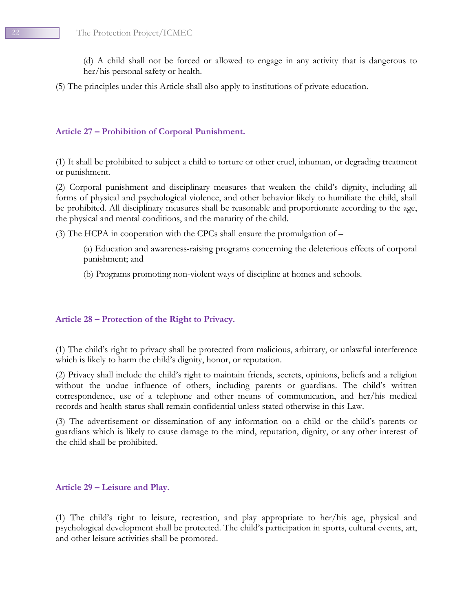(d) A child shall not be forced or allowed to engage in any activity that is dangerous to her/his personal safety or health.

(5) The principles under this Article shall also apply to institutions of private education.

## <span id="page-21-0"></span>**Article 27 – Prohibition of Corporal Punishment.**

(1) It shall be prohibited to subject a child to torture or other cruel, inhuman, or degrading treatment or punishment.

(2) Corporal punishment and disciplinary measures that weaken the child's dignity, including all forms of physical and psychological violence, and other behavior likely to humiliate the child, shall be prohibited. All disciplinary measures shall be reasonable and proportionate according to the age, the physical and mental conditions, and the maturity of the child.

(3) The HCPA in cooperation with the CPCs shall ensure the promulgation of –

(a) Education and awareness-raising programs concerning the deleterious effects of corporal punishment; and

(b) Programs promoting non-violent ways of discipline at homes and schools.

#### <span id="page-21-1"></span>**Article 28 – Protection of the Right to Privacy.**

(1) The child's right to privacy shall be protected from malicious, arbitrary, or unlawful interference which is likely to harm the child's dignity, honor, or reputation.

(2) Privacy shall include the child's right to maintain friends, secrets, opinions, beliefs and a religion without the undue influence of others, including parents or guardians. The child's written correspondence, use of a telephone and other means of communication, and her/his medical records and health-status shall remain confidential unless stated otherwise in this Law.

(3) The advertisement or dissemination of any information on a child or the child's parents or guardians which is likely to cause damage to the mind, reputation, dignity, or any other interest of the child shall be prohibited.

#### <span id="page-21-2"></span>**Article 29 – Leisure and Play.**

(1) The child's right to leisure, recreation, and play appropriate to her/his age, physical and psychological development shall be protected. The child's participation in sports, cultural events, art, and other leisure activities shall be promoted.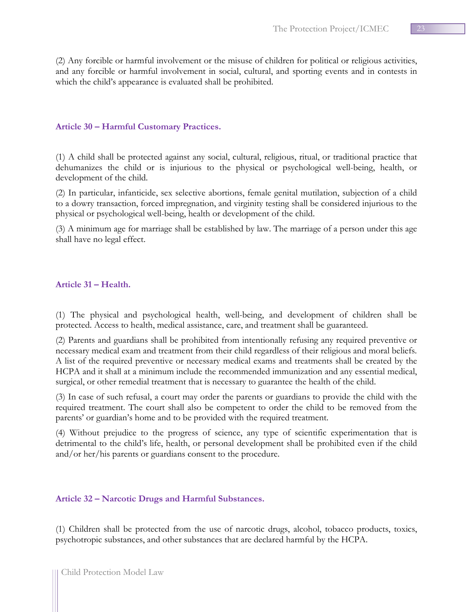(2) Any forcible or harmful involvement or the misuse of children for political or religious activities, and any forcible or harmful involvement in social, cultural, and sporting events and in contests in which the child's appearance is evaluated shall be prohibited.

## <span id="page-22-0"></span>**Article 30 – Harmful Customary Practices.**

(1) A child shall be protected against any social, cultural, religious, ritual, or traditional practice that dehumanizes the child or is injurious to the physical or psychological well-being, health, or development of the child.

(2) In particular, infanticide, sex selective abortions, female genital mutilation, subjection of a child to a dowry transaction, forced impregnation, and virginity testing shall be considered injurious to the physical or psychological well-being, health or development of the child.

(3) A minimum age for marriage shall be established by law. The marriage of a person under this age shall have no legal effect.

#### <span id="page-22-1"></span>**Article 31 – Health.**

(1) The physical and psychological health, well-being, and development of children shall be protected. Access to health, medical assistance, care, and treatment shall be guaranteed.

(2) Parents and guardians shall be prohibited from intentionally refusing any required preventive or necessary medical exam and treatment from their child regardless of their religious and moral beliefs. A list of the required preventive or necessary medical exams and treatments shall be created by the HCPA and it shall at a minimum include the recommended immunization and any essential medical, surgical, or other remedial treatment that is necessary to guarantee the health of the child.

(3) In case of such refusal, a court may order the parents or guardians to provide the child with the required treatment. The court shall also be competent to order the child to be removed from the parents' or guardian's home and to be provided with the required treatment.

(4) Without prejudice to the progress of science, any type of scientific experimentation that is detrimental to the child's life, health, or personal development shall be prohibited even if the child and/or her/his parents or guardians consent to the procedure.

## <span id="page-22-2"></span>**Article 32 – Narcotic Drugs and Harmful Substances.**

(1) Children shall be protected from the use of narcotic drugs, alcohol, tobacco products, toxics, psychotropic substances, and other substances that are declared harmful by the HCPA.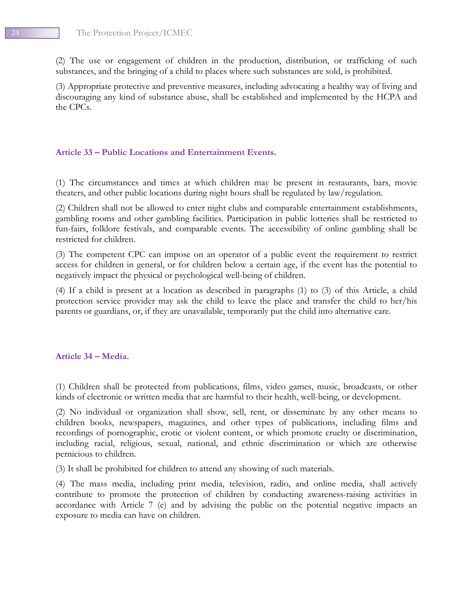(2) The use or engagement of children in the production, distribution, or trafficking of such substances, and the bringing of a child to places where such substances are sold, is prohibited.

(3) Appropriate protective and preventive measures, including advocating a healthy way of living and discouraging any kind of substance abuse, shall be established and implemented by the HCPA and the CPCs.

## <span id="page-23-0"></span>**Article 33 – Public Locations and Entertainment Events.**

(1) The circumstances and times at which children may be present in restaurants, bars, movie theaters, and other public locations during night hours shall be regulated by law/regulation.

(2) Children shall not be allowed to enter night clubs and comparable entertainment establishments, gambling rooms and other gambling facilities. Participation in public lotteries shall be restricted to fun-fairs, folklore festivals, and comparable events. The accessibility of online gambling shall be restricted for children.

(3) The competent CPC can impose on an operator of a public event the requirement to restrict access for children in general, or for children below a certain age, if the event has the potential to negatively impact the physical or psychological well-being of children.

(4) If a child is present at a location as described in paragraphs (1) to (3) of this Article, a child protection service provider may ask the child to leave the place and transfer the child to her/his parents or guardians, or, if they are unavailable, temporarily put the child into alternative care.

#### <span id="page-23-1"></span>**Article 34 – Media.**

(1) Children shall be protected from publications, films, video games, music, broadcasts, or other kinds of electronic or written media that are harmful to their health, well-being, or development.

(2) No individual or organization shall show, sell, rent, or disseminate by any other means to children books, newspapers, magazines, and other types of publications, including films and recordings of pornographic, erotic or violent content, or which promote cruelty or discrimination, including racial, religious, sexual, national, and ethnic discrimination or which are otherwise pernicious to children.

(3) It shall be prohibited for children to attend any showing of such materials.

(4) The mass media, including print media, television, radio, and online media, shall actively contribute to promote the protection of children by conducting awareness-raising activities in accordance with Article 7 (e) and by advising the public on the potential negative impacts an exposure to media can have on children.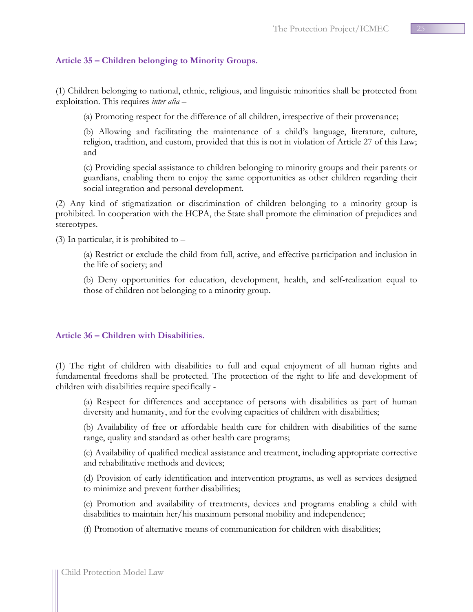## <span id="page-24-0"></span>**Article 35 – Children belonging to Minority Groups.**

(1) Children belonging to national, ethnic, religious, and linguistic minorities shall be protected from exploitation. This requires *inter alia* –

(a) Promoting respect for the difference of all children, irrespective of their provenance;

(b) Allowing and facilitating the maintenance of a child's language, literature, culture, religion, tradition, and custom, provided that this is not in violation of Article 27 of this Law; and

(c) Providing special assistance to children belonging to minority groups and their parents or guardians, enabling them to enjoy the same opportunities as other children regarding their social integration and personal development.

(2) Any kind of stigmatization or discrimination of children belonging to a minority group is prohibited. In cooperation with the HCPA, the State shall promote the elimination of prejudices and stereotypes.

(3) In particular, it is prohibited to –

(a) Restrict or exclude the child from full, active, and effective participation and inclusion in the life of society; and

(b) Deny opportunities for education, development, health, and self-realization equal to those of children not belonging to a minority group.

## <span id="page-24-1"></span>**Article 36 – Children with Disabilities.**

(1) The right of children with disabilities to full and equal enjoyment of all human rights and fundamental freedoms shall be protected. The protection of the right to life and development of children with disabilities require specifically -

(a) Respect for differences and acceptance of persons with disabilities as part of human diversity and humanity, and for the evolving capacities of children with disabilities;

(b) Availability of free or affordable health care for children with disabilities of the same range, quality and standard as other health care programs;

(c) Availability of qualified medical assistance and treatment, including appropriate corrective and rehabilitative methods and devices;

(d) Provision of early identification and intervention programs, as well as services designed to minimize and prevent further disabilities;

(e) Promotion and availability of treatments, devices and programs enabling a child with disabilities to maintain her/his maximum personal mobility and independence;

(f) Promotion of alternative means of communication for children with disabilities;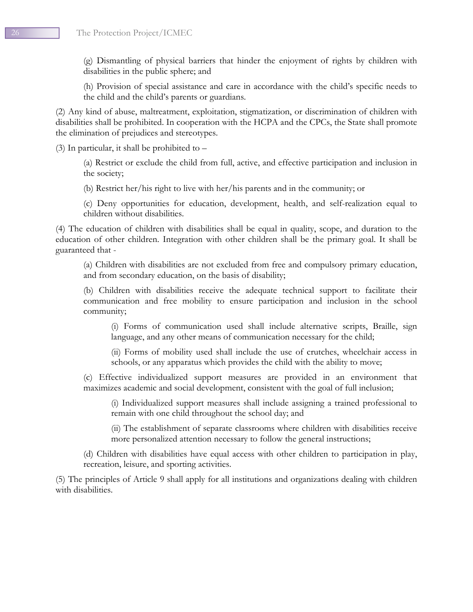(g) Dismantling of physical barriers that hinder the enjoyment of rights by children with disabilities in the public sphere; and

(h) Provision of special assistance and care in accordance with the child's specific needs to the child and the child's parents or guardians.

(2) Any kind of abuse, maltreatment, exploitation, stigmatization, or discrimination of children with disabilities shall be prohibited. In cooperation with the HCPA and the CPCs, the State shall promote the elimination of prejudices and stereotypes.

(3) In particular, it shall be prohibited to –

(a) Restrict or exclude the child from full, active, and effective participation and inclusion in the society;

(b) Restrict her/his right to live with her/his parents and in the community; or

(c) Deny opportunities for education, development, health, and self-realization equal to children without disabilities.

(4) The education of children with disabilities shall be equal in quality, scope, and duration to the education of other children. Integration with other children shall be the primary goal. It shall be guaranteed that -

(a) Children with disabilities are not excluded from free and compulsory primary education, and from secondary education, on the basis of disability;

(b) Children with disabilities receive the adequate technical support to facilitate their communication and free mobility to ensure participation and inclusion in the school community;

(i) Forms of communication used shall include alternative scripts, Braille, sign language, and any other means of communication necessary for the child;

(ii) Forms of mobility used shall include the use of crutches, wheelchair access in schools, or any apparatus which provides the child with the ability to move;

(c) Effective individualized support measures are provided in an environment that maximizes academic and social development, consistent with the goal of full inclusion;

(i) Individualized support measures shall include assigning a trained professional to remain with one child throughout the school day; and

(ii) The establishment of separate classrooms where children with disabilities receive more personalized attention necessary to follow the general instructions;

(d) Children with disabilities have equal access with other children to participation in play, recreation, leisure, and sporting activities.

(5) The principles of Article 9 shall apply for all institutions and organizations dealing with children with disabilities.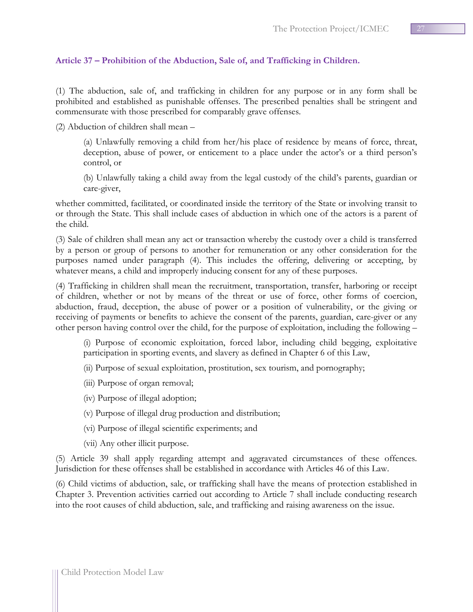## <span id="page-26-0"></span>**Article 37 – Prohibition of the Abduction, Sale of, and Trafficking in Children.**

(1) The abduction, sale of, and trafficking in children for any purpose or in any form shall be prohibited and established as punishable offenses. The prescribed penalties shall be stringent and commensurate with those prescribed for comparably grave offenses.

(2) Abduction of children shall mean –

(a) Unlawfully removing a child from her/his place of residence by means of force, threat, deception, abuse of power, or enticement to a place under the actor's or a third person's control, or

(b) Unlawfully taking a child away from the legal custody of the child's parents, guardian or care-giver,

whether committed, facilitated, or coordinated inside the territory of the State or involving transit to or through the State. This shall include cases of abduction in which one of the actors is a parent of the child.

(3) Sale of children shall mean any act or transaction whereby the custody over a child is transferred by a person or group of persons to another for remuneration or any other consideration for the purposes named under paragraph (4). This includes the offering, delivering or accepting, by whatever means, a child and improperly inducing consent for any of these purposes.

(4) Trafficking in children shall mean the recruitment, transportation, transfer, harboring or receipt of children, whether or not by means of the threat or use of force, other forms of coercion, abduction, fraud, deception, the abuse of power or a position of vulnerability, or the giving or receiving of payments or benefits to achieve the consent of the parents, guardian, care-giver or any other person having control over the child, for the purpose of exploitation, including the following –

(i) Purpose of economic exploitation, forced labor, including child begging, exploitative participation in sporting events, and slavery as defined in Chapter 6 of this Law,

(ii) Purpose of sexual exploitation, prostitution, sex tourism, and pornography;

(iii) Purpose of organ removal;

(iv) Purpose of illegal adoption;

(v) Purpose of illegal drug production and distribution;

- (vi) Purpose of illegal scientific experiments; and
- (vii) Any other illicit purpose.

(5) Article 39 shall apply regarding attempt and aggravated circumstances of these offences. Jurisdiction for these offenses shall be established in accordance with Articles 46 of this Law.

(6) Child victims of abduction, sale, or trafficking shall have the means of protection established in Chapter 3. Prevention activities carried out according to Article 7 shall include conducting research into the root causes of child abduction, sale, and trafficking and raising awareness on the issue.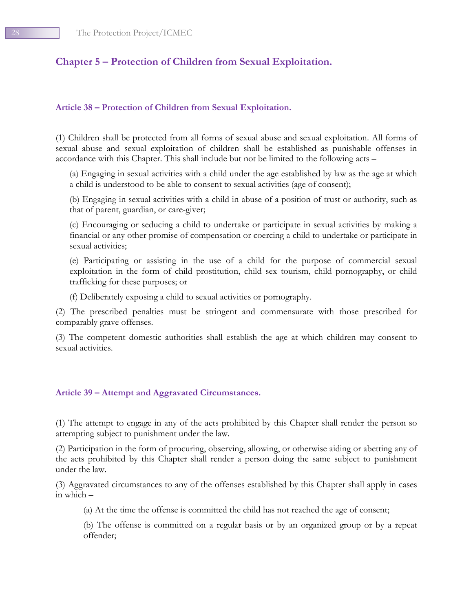# <span id="page-27-0"></span>**Chapter 5 – Protection of Children from Sexual Exploitation.**

## <span id="page-27-1"></span>**Article 38 – Protection of Children from Sexual Exploitation.**

(1) Children shall be protected from all forms of sexual abuse and sexual exploitation. All forms of sexual abuse and sexual exploitation of children shall be established as punishable offenses in accordance with this Chapter. This shall include but not be limited to the following acts –

(a) Engaging in sexual activities with a child under the age established by law as the age at which a child is understood to be able to consent to sexual activities (age of consent);

(b) Engaging in sexual activities with a child in abuse of a position of trust or authority, such as that of parent, guardian, or care-giver;

(c) Encouraging or seducing a child to undertake or participate in sexual activities by making a financial or any other promise of compensation or coercing a child to undertake or participate in sexual activities;

(e) Participating or assisting in the use of a child for the purpose of commercial sexual exploitation in the form of child prostitution, child sex tourism, child pornography, or child trafficking for these purposes; or

(f) Deliberately exposing a child to sexual activities or pornography.

(2) The prescribed penalties must be stringent and commensurate with those prescribed for comparably grave offenses.

(3) The competent domestic authorities shall establish the age at which children may consent to sexual activities.

## <span id="page-27-2"></span>**Article 39 – Attempt and Aggravated Circumstances.**

(1) The attempt to engage in any of the acts prohibited by this Chapter shall render the person so attempting subject to punishment under the law.

(2) Participation in the form of procuring, observing, allowing, or otherwise aiding or abetting any of the acts prohibited by this Chapter shall render a person doing the same subject to punishment under the law.

(3) Aggravated circumstances to any of the offenses established by this Chapter shall apply in cases in which –

(a) At the time the offense is committed the child has not reached the age of consent;

(b) The offense is committed on a regular basis or by an organized group or by a repeat offender;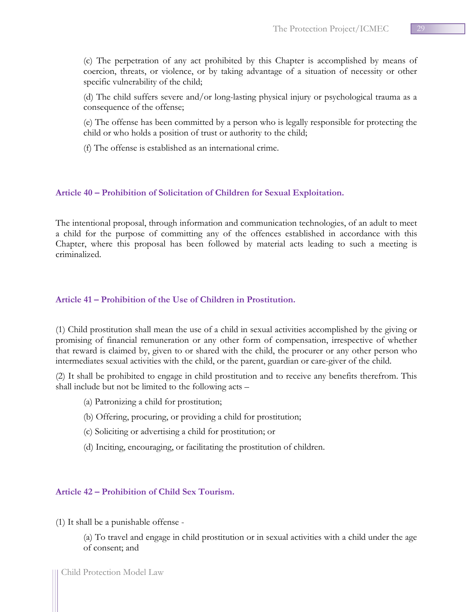(c) The perpetration of any act prohibited by this Chapter is accomplished by means of coercion, threats, or violence, or by taking advantage of a situation of necessity or other specific vulnerability of the child;

(d) The child suffers severe and/or long-lasting physical injury or psychological trauma as a consequence of the offense;

(e) The offense has been committed by a person who is legally responsible for protecting the child or who holds a position of trust or authority to the child;

(f) The offense is established as an international crime.

## <span id="page-28-0"></span>**Article 40 – Prohibition of Solicitation of Children for Sexual Exploitation.**

The intentional proposal, through information and communication technologies, of an adult to meet a child for the purpose of committing any of the offences established in accordance with this Chapter, where this proposal has been followed by material acts leading to such a meeting is criminalized.

## <span id="page-28-1"></span>**Article 41 – Prohibition of the Use of Children in Prostitution.**

(1) Child prostitution shall mean the use of a child in sexual activities accomplished by the giving or promising of financial remuneration or any other form of compensation, irrespective of whether that reward is claimed by, given to or shared with the child, the procurer or any other person who intermediates sexual activities with the child, or the parent, guardian or care-giver of the child.

(2) It shall be prohibited to engage in child prostitution and to receive any benefits therefrom. This shall include but not be limited to the following acts –

- (a) Patronizing a child for prostitution;
- (b) Offering, procuring, or providing a child for prostitution;
- (c) Soliciting or advertising a child for prostitution; or
- (d) Inciting, encouraging, or facilitating the prostitution of children.

## <span id="page-28-2"></span>**Article 42 – Prohibition of Child Sex Tourism.**

(1) It shall be a punishable offense -

(a) To travel and engage in child prostitution or in sexual activities with a child under the age of consent; and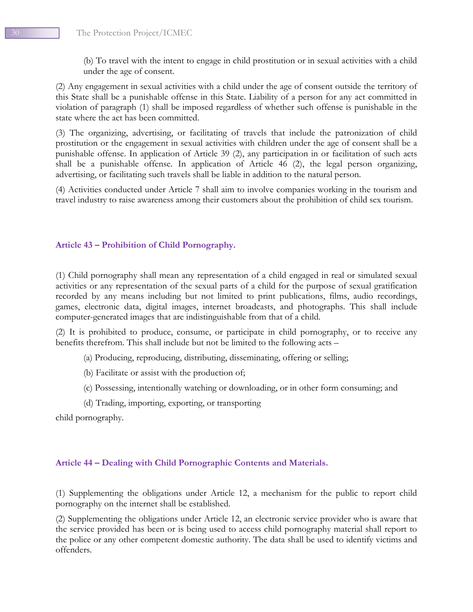(b) To travel with the intent to engage in child prostitution or in sexual activities with a child under the age of consent.

(2) Any engagement in sexual activities with a child under the age of consent outside the territory of this State shall be a punishable offense in this State. Liability of a person for any act committed in violation of paragraph (1) shall be imposed regardless of whether such offense is punishable in the state where the act has been committed.

(3) The organizing, advertising, or facilitating of travels that include the patronization of child prostitution or the engagement in sexual activities with children under the age of consent shall be a punishable offense. In application of Article 39 (2), any participation in or facilitation of such acts shall be a punishable offense. In application of Article 46 (2), the legal person organizing, advertising, or facilitating such travels shall be liable in addition to the natural person.

(4) Activities conducted under Article 7 shall aim to involve companies working in the tourism and travel industry to raise awareness among their customers about the prohibition of child sex tourism.

## <span id="page-29-0"></span>**Article 43 – Prohibition of Child Pornography.**

(1) Child pornography shall mean any representation of a child engaged in real or simulated sexual activities or any representation of the sexual parts of a child for the purpose of sexual gratification recorded by any means including but not limited to print publications, films, audio recordings, games, electronic data, digital images, internet broadcasts, and photographs. This shall include computer-generated images that are indistinguishable from that of a child.

(2) It is prohibited to produce, consume, or participate in child pornography, or to receive any benefits therefrom. This shall include but not be limited to the following acts –

- (a) Producing, reproducing, distributing, disseminating, offering or selling;
- (b) Facilitate or assist with the production of;
- (c) Possessing, intentionally watching or downloading, or in other form consuming; and
- (d) Trading, importing, exporting, or transporting

child pornography.

## <span id="page-29-1"></span>**Article 44 – Dealing with Child Pornographic Contents and Materials.**

(1) Supplementing the obligations under Article 12, a mechanism for the public to report child pornography on the internet shall be established.

(2) Supplementing the obligations under Article 12, an electronic service provider who is aware that the service provided has been or is being used to access child pornography material shall report to the police or any other competent domestic authority. The data shall be used to identify victims and offenders.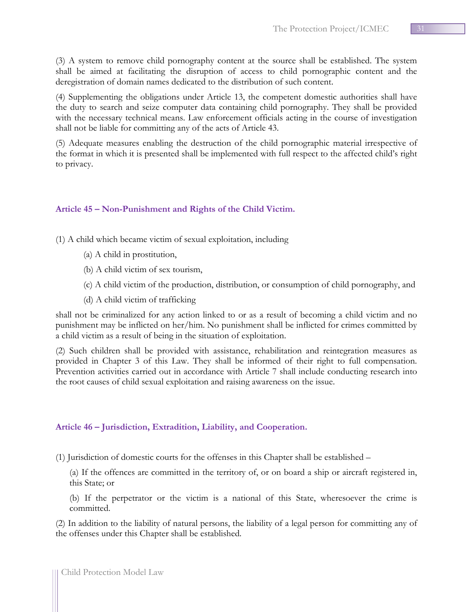(3) A system to remove child pornography content at the source shall be established. The system shall be aimed at facilitating the disruption of access to child pornographic content and the deregistration of domain names dedicated to the distribution of such content.

(4) Supplementing the obligations under Article 13, the competent domestic authorities shall have the duty to search and seize computer data containing child pornography. They shall be provided with the necessary technical means. Law enforcement officials acting in the course of investigation shall not be liable for committing any of the acts of Article 43.

(5) Adequate measures enabling the destruction of the child pornographic material irrespective of the format in which it is presented shall be implemented with full respect to the affected child's right to privacy.

## <span id="page-30-0"></span>**Article 45 – Non-Punishment and Rights of the Child Victim.**

- (1) A child which became victim of sexual exploitation, including
	- (a) A child in prostitution,
	- (b) A child victim of sex tourism,
	- (c) A child victim of the production, distribution, or consumption of child pornography, and
	- (d) A child victim of trafficking

shall not be criminalized for any action linked to or as a result of becoming a child victim and no punishment may be inflicted on her/him. No punishment shall be inflicted for crimes committed by a child victim as a result of being in the situation of exploitation.

(2) Such children shall be provided with assistance, rehabilitation and reintegration measures as provided in Chapter 3 of this Law. They shall be informed of their right to full compensation. Prevention activities carried out in accordance with Article 7 shall include conducting research into the root causes of child sexual exploitation and raising awareness on the issue.

## <span id="page-30-1"></span>**Article 46 – Jurisdiction, Extradition, Liability, and Cooperation.**

(1) Jurisdiction of domestic courts for the offenses in this Chapter shall be established –

(a) If the offences are committed in the territory of, or on board a ship or aircraft registered in, this State; or

(b) If the perpetrator or the victim is a national of this State, wheresoever the crime is committed.

(2) In addition to the liability of natural persons, the liability of a legal person for committing any of the offenses under this Chapter shall be established.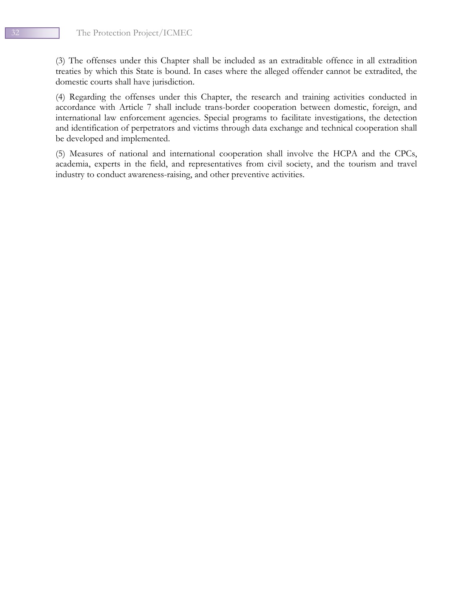(3) The offenses under this Chapter shall be included as an extraditable offence in all extradition treaties by which this State is bound. In cases where the alleged offender cannot be extradited, the domestic courts shall have jurisdiction.

(4) Regarding the offenses under this Chapter, the research and training activities conducted in accordance with Article 7 shall include trans-border cooperation between domestic, foreign, and international law enforcement agencies. Special programs to facilitate investigations, the detection and identification of perpetrators and victims through data exchange and technical cooperation shall be developed and implemented.

(5) Measures of national and international cooperation shall involve the HCPA and the CPCs, academia, experts in the field, and representatives from civil society, and the tourism and travel industry to conduct awareness-raising, and other preventive activities.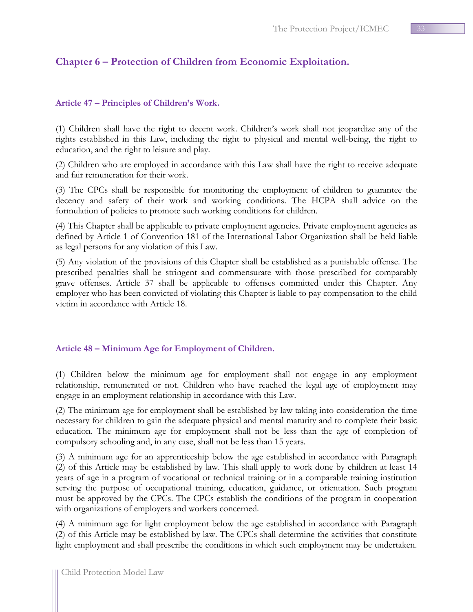# <span id="page-32-0"></span>**Chapter 6 – Protection of Children from Economic Exploitation.**

## <span id="page-32-1"></span>**Article 47 – Principles of Children's Work.**

(1) Children shall have the right to decent work. Children's work shall not jeopardize any of the rights established in this Law, including the right to physical and mental well-being, the right to education, and the right to leisure and play.

(2) Children who are employed in accordance with this Law shall have the right to receive adequate and fair remuneration for their work.

(3) The CPCs shall be responsible for monitoring the employment of children to guarantee the decency and safety of their work and working conditions. The HCPA shall advice on the formulation of policies to promote such working conditions for children.

(4) This Chapter shall be applicable to private employment agencies. Private employment agencies as defined by Article 1 of Convention 181 of the International Labor Organization shall be held liable as legal persons for any violation of this Law.

(5) Any violation of the provisions of this Chapter shall be established as a punishable offense. The prescribed penalties shall be stringent and commensurate with those prescribed for comparably grave offenses. Article 37 shall be applicable to offenses committed under this Chapter. Any employer who has been convicted of violating this Chapter is liable to pay compensation to the child victim in accordance with Article 18.

## <span id="page-32-2"></span>**Article 48 – Minimum Age for Employment of Children.**

(1) Children below the minimum age for employment shall not engage in any employment relationship, remunerated or not. Children who have reached the legal age of employment may engage in an employment relationship in accordance with this Law.

(2) The minimum age for employment shall be established by law taking into consideration the time necessary for children to gain the adequate physical and mental maturity and to complete their basic education. The minimum age for employment shall not be less than the age of completion of compulsory schooling and, in any case, shall not be less than 15 years.

(3) A minimum age for an apprenticeship below the age established in accordance with Paragraph (2) of this Article may be established by law. This shall apply to work done by children at least 14 years of age in a program of vocational or technical training or in a comparable training institution serving the purpose of occupational training, education, guidance, or orientation. Such program must be approved by the CPCs. The CPCs establish the conditions of the program in cooperation with organizations of employers and workers concerned.

(4) A minimum age for light employment below the age established in accordance with Paragraph (2) of this Article may be established by law. The CPCs shall determine the activities that constitute light employment and shall prescribe the conditions in which such employment may be undertaken.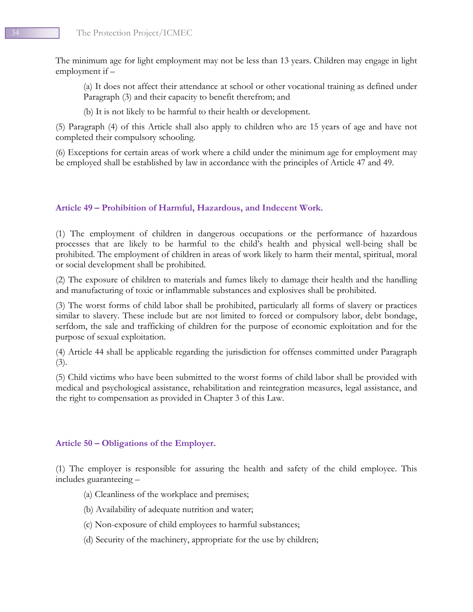The minimum age for light employment may not be less than 13 years. Children may engage in light employment if –

(a) It does not affect their attendance at school or other vocational training as defined under Paragraph (3) and their capacity to benefit therefrom; and

(b) It is not likely to be harmful to their health or development.

(5) Paragraph (4) of this Article shall also apply to children who are 15 years of age and have not completed their compulsory schooling.

(6) Exceptions for certain areas of work where a child under the minimum age for employment may be employed shall be established by law in accordance with the principles of Article 47 and 49.

## <span id="page-33-0"></span>**Article 49 – Prohibition of Harmful, Hazardous, and Indecent Work.**

(1) The employment of children in dangerous occupations or the performance of hazardous processes that are likely to be harmful to the child's health and physical well-being shall be prohibited. The employment of children in areas of work likely to harm their mental, spiritual, moral or social development shall be prohibited.

(2) The exposure of children to materials and fumes likely to damage their health and the handling and manufacturing of toxic or inflammable substances and explosives shall be prohibited.

(3) The worst forms of child labor shall be prohibited, particularly all forms of slavery or practices similar to slavery. These include but are not limited to forced or compulsory labor, debt bondage, serfdom, the sale and trafficking of children for the purpose of economic exploitation and for the purpose of sexual exploitation.

(4) Article 44 shall be applicable regarding the jurisdiction for offenses committed under Paragraph (3).

(5) Child victims who have been submitted to the worst forms of child labor shall be provided with medical and psychological assistance, rehabilitation and reintegration measures, legal assistance, and the right to compensation as provided in Chapter 3 of this Law.

## <span id="page-33-1"></span>**Article 50 – Obligations of the Employer.**

(1) The employer is responsible for assuring the health and safety of the child employee. This includes guaranteeing –

- (a) Cleanliness of the workplace and premises;
- (b) Availability of adequate nutrition and water;
- (c) Non-exposure of child employees to harmful substances;
- (d) Security of the machinery, appropriate for the use by children;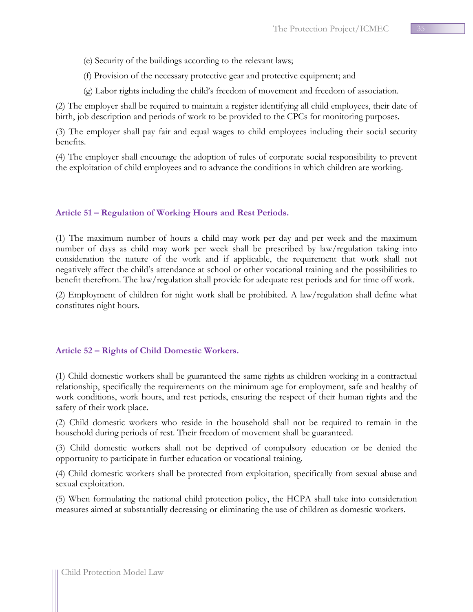- (e) Security of the buildings according to the relevant laws;
- (f) Provision of the necessary protective gear and protective equipment; and
- (g) Labor rights including the child's freedom of movement and freedom of association.

(2) The employer shall be required to maintain a register identifying all child employees, their date of birth, job description and periods of work to be provided to the CPCs for monitoring purposes.

(3) The employer shall pay fair and equal wages to child employees including their social security benefits.

(4) The employer shall encourage the adoption of rules of corporate social responsibility to prevent the exploitation of child employees and to advance the conditions in which children are working.

## <span id="page-34-0"></span>**Article 51 – Regulation of Working Hours and Rest Periods.**

(1) The maximum number of hours a child may work per day and per week and the maximum number of days as child may work per week shall be prescribed by law/regulation taking into consideration the nature of the work and if applicable, the requirement that work shall not negatively affect the child's attendance at school or other vocational training and the possibilities to benefit therefrom. The law/regulation shall provide for adequate rest periods and for time off work.

(2) Employment of children for night work shall be prohibited. A law/regulation shall define what constitutes night hours.

## <span id="page-34-1"></span>**Article 52 – Rights of Child Domestic Workers.**

(1) Child domestic workers shall be guaranteed the same rights as children working in a contractual relationship, specifically the requirements on the minimum age for employment, safe and healthy of work conditions, work hours, and rest periods, ensuring the respect of their human rights and the safety of their work place.

(2) Child domestic workers who reside in the household shall not be required to remain in the household during periods of rest. Their freedom of movement shall be guaranteed.

(3) Child domestic workers shall not be deprived of compulsory education or be denied the opportunity to participate in further education or vocational training.

(4) Child domestic workers shall be protected from exploitation, specifically from sexual abuse and sexual exploitation.

(5) When formulating the national child protection policy, the HCPA shall take into consideration measures aimed at substantially decreasing or eliminating the use of children as domestic workers.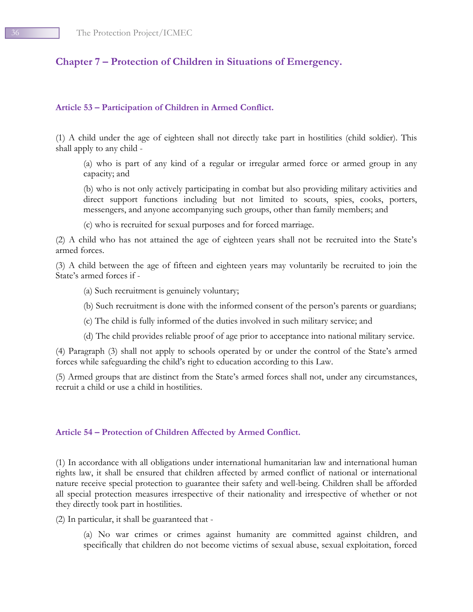# <span id="page-35-0"></span>**Chapter 7 – Protection of Children in Situations of Emergency.**

#### <span id="page-35-1"></span>**Article 53 – Participation of Children in Armed Conflict.**

(1) A child under the age of eighteen shall not directly take part in hostilities (child soldier). This shall apply to any child -

(a) who is part of any kind of a regular or irregular armed force or armed group in any capacity; and

(b) who is not only actively participating in combat but also providing military activities and direct support functions including but not limited to scouts, spies, cooks, porters, messengers, and anyone accompanying such groups, other than family members; and

(c) who is recruited for sexual purposes and for forced marriage.

(2) A child who has not attained the age of eighteen years shall not be recruited into the State's armed forces.

(3) A child between the age of fifteen and eighteen years may voluntarily be recruited to join the State's armed forces if -

- (a) Such recruitment is genuinely voluntary;
- (b) Such recruitment is done with the informed consent of the person's parents or guardians;
- (c) The child is fully informed of the duties involved in such military service; and
- (d) The child provides reliable proof of age prior to acceptance into national military service.

(4) Paragraph (3) shall not apply to schools operated by or under the control of the State's armed forces while safeguarding the child's right to education according to this Law.

(5) Armed groups that are distinct from the State's armed forces shall not, under any circumstances, recruit a child or use a child in hostilities.

#### <span id="page-35-2"></span>**Article 54 – Protection of Children Affected by Armed Conflict.**

(1) In accordance with all obligations under international humanitarian law and international human rights law, it shall be ensured that children affected by armed conflict of national or international nature receive special protection to guarantee their safety and well-being. Children shall be afforded all special protection measures irrespective of their nationality and irrespective of whether or not they directly took part in hostilities.

(2) In particular, it shall be guaranteed that -

(a) No war crimes or crimes against humanity are committed against children, and specifically that children do not become victims of sexual abuse, sexual exploitation, forced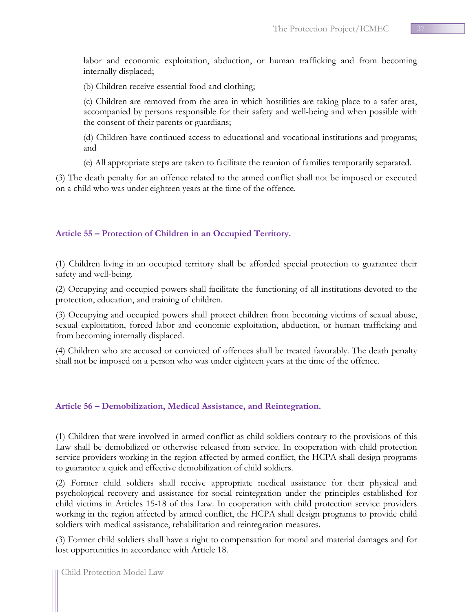labor and economic exploitation, abduction, or human trafficking and from becoming internally displaced;

(b) Children receive essential food and clothing;

(c) Children are removed from the area in which hostilities are taking place to a safer area, accompanied by persons responsible for their safety and well-being and when possible with the consent of their parents or guardians;

(d) Children have continued access to educational and vocational institutions and programs; and

(e) All appropriate steps are taken to facilitate the reunion of families temporarily separated.

(3) The death penalty for an offence related to the armed conflict shall not be imposed or executed on a child who was under eighteen years at the time of the offence.

## <span id="page-36-0"></span>**Article 55 – Protection of Children in an Occupied Territory.**

(1) Children living in an occupied territory shall be afforded special protection to guarantee their safety and well-being.

(2) Occupying and occupied powers shall facilitate the functioning of all institutions devoted to the protection, education, and training of children.

(3) Occupying and occupied powers shall protect children from becoming victims of sexual abuse, sexual exploitation, forced labor and economic exploitation, abduction, or human trafficking and from becoming internally displaced.

(4) Children who are accused or convicted of offences shall be treated favorably. The death penalty shall not be imposed on a person who was under eighteen years at the time of the offence.

## <span id="page-36-1"></span>**Article 56 – Demobilization, Medical Assistance, and Reintegration.**

(1) Children that were involved in armed conflict as child soldiers contrary to the provisions of this Law shall be demobilized or otherwise released from service. In cooperation with child protection service providers working in the region affected by armed conflict, the HCPA shall design programs to guarantee a quick and effective demobilization of child soldiers.

(2) Former child soldiers shall receive appropriate medical assistance for their physical and psychological recovery and assistance for social reintegration under the principles established for child victims in Articles 15-18 of this Law. In cooperation with child protection service providers working in the region affected by armed conflict, the HCPA shall design programs to provide child soldiers with medical assistance, rehabilitation and reintegration measures.

(3) Former child soldiers shall have a right to compensation for moral and material damages and for lost opportunities in accordance with Article 18.

Child Protection Model Law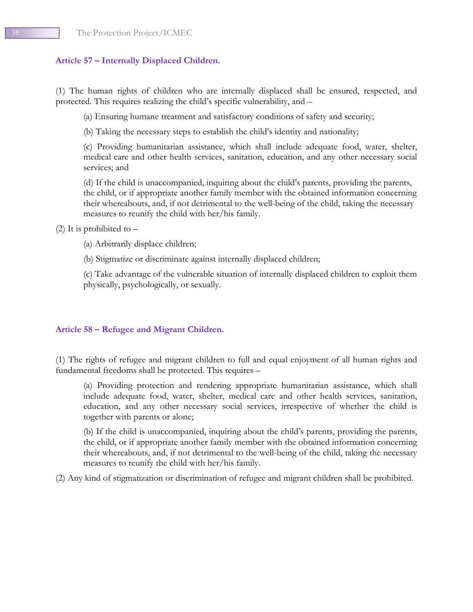## <span id="page-37-0"></span>**Article 57 – Internally Displaced Children.**

(1) The human rights of children who are internally displaced shall be ensured, respected, and protected. This requires realizing the child's specific vulnerability, and –

(a) Ensuring humane treatment and satisfactory conditions of safety and security;

(b) Taking the necessary steps to establish the child's identity and nationality;

(c) Providing humanitarian assistance, which shall include adequate food, water, shelter, medical care and other health services, sanitation, education, and any other necessary social services; and

(d) If the child is unaccompanied, inquiring about the child's parents, providing the parents, the child, or if appropriate another family member with the obtained information concerning their whereabouts, and, if not detrimental to the well-being of the child, taking the necessary measures to reunify the child with her/his family.

(2) It is prohibited to  $-$ 

(a) Arbitrarily displace children;

(b) Stigmatize or discriminate against internally displaced children;

(c) Take advantage of the vulnerable situation of internally displaced children to exploit them physically, psychologically, or sexually.

## <span id="page-37-1"></span>**Article 58 – Refugee and Migrant Children.**

(1) The rights of refugee and migrant children to full and equal enjoyment of all human rights and fundamental freedoms shall be protected. This requires –

(a) Providing protection and rendering appropriate humanitarian assistance, which shall include adequate food, water, shelter, medical care and other health services, sanitation, education, and any other necessary social services, irrespective of whether the child is together with parents or alone;

(b) If the child is unaccompanied, inquiring about the child's parents, providing the parents, the child, or if appropriate another family member with the obtained information concerning their whereabouts, and, if not detrimental to the well-being of the child, taking the necessary measures to reunify the child with her/his family.

(2) Any kind of stigmatization or discrimination of refugee and migrant children shall be prohibited.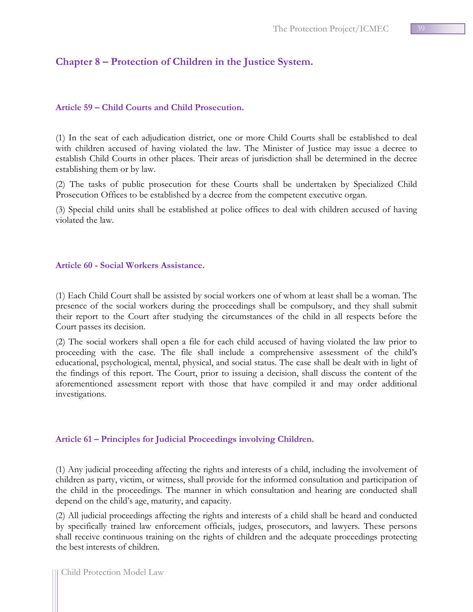# <span id="page-38-0"></span>**Chapter 8 – Protection of Children in the Justice System.**

## <span id="page-38-1"></span>**Article 59 – Child Courts and Child Prosecution.**

(1) In the seat of each adjudication district, one or more Child Courts shall be established to deal with children accused of having violated the law. The Minister of Justice may issue a decree to establish Child Courts in other places. Their areas of jurisdiction shall be determined in the decree establishing them or by law.

(2) The tasks of public prosecution for these Courts shall be undertaken by Specialized Child Prosecution Offices to be established by a decree from the competent executive organ.

(3) Special child units shall be established at police offices to deal with children accused of having violated the law.

## <span id="page-38-2"></span>**Article 60 - Social Workers Assistance.**

(1) Each Child Court shall be assisted by social workers one of whom at least shall be a woman. The presence of the social workers during the proceedings shall be compulsory, and they shall submit their report to the Court after studying the circumstances of the child in all respects before the Court passes its decision.

(2) The social workers shall open a file for each child accused of having violated the law prior to proceeding with the case. The file shall include a comprehensive assessment of the child's educational, psychological, mental, physical, and social status. The case shall be dealt with in light of the findings of this report. The Court, prior to issuing a decision, shall discuss the content of the aforementioned assessment report with those that have compiled it and may order additional investigations.

## <span id="page-38-3"></span>**Article 61 – Principles for Judicial Proceedings involving Children.**

(1) Any judicial proceeding affecting the rights and interests of a child, including the involvement of children as party, victim, or witness, shall provide for the informed consultation and participation of the child in the proceedings. The manner in which consultation and hearing are conducted shall depend on the child's age, maturity, and capacity.

(2) All judicial proceedings affecting the rights and interests of a child shall be heard and conducted by specifically trained law enforcement officials, judges, prosecutors, and lawyers. These persons shall receive continuous training on the rights of children and the adequate proceedings protecting the best interests of children.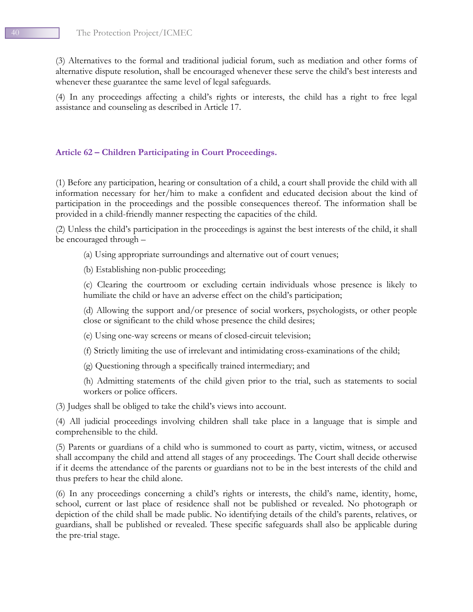(3) Alternatives to the formal and traditional judicial forum, such as mediation and other forms of alternative dispute resolution, shall be encouraged whenever these serve the child's best interests and whenever these guarantee the same level of legal safeguards.

(4) In any proceedings affecting a child's rights or interests, the child has a right to free legal assistance and counseling as described in Article 17.

## <span id="page-39-0"></span>**Article 62 – Children Participating in Court Proceedings.**

(1) Before any participation, hearing or consultation of a child, a court shall provide the child with all information necessary for her/him to make a confident and educated decision about the kind of participation in the proceedings and the possible consequences thereof. The information shall be provided in a child-friendly manner respecting the capacities of the child.

(2) Unless the child's participation in the proceedings is against the best interests of the child, it shall be encouraged through –

(a) Using appropriate surroundings and alternative out of court venues;

(b) Establishing non-public proceeding;

(c) Clearing the courtroom or excluding certain individuals whose presence is likely to humiliate the child or have an adverse effect on the child's participation;

(d) Allowing the support and/or presence of social workers, psychologists, or other people close or significant to the child whose presence the child desires;

(e) Using one-way screens or means of closed-circuit television;

(f) Strictly limiting the use of irrelevant and intimidating cross-examinations of the child;

(g) Questioning through a specifically trained intermediary; and

(h) Admitting statements of the child given prior to the trial, such as statements to social workers or police officers.

(3) Judges shall be obliged to take the child's views into account.

(4) All judicial proceedings involving children shall take place in a language that is simple and comprehensible to the child.

(5) Parents or guardians of a child who is summoned to court as party, victim, witness, or accused shall accompany the child and attend all stages of any proceedings. The Court shall decide otherwise if it deems the attendance of the parents or guardians not to be in the best interests of the child and thus prefers to hear the child alone.

(6) In any proceedings concerning a child's rights or interests, the child's name, identity, home, school, current or last place of residence shall not be published or revealed. No photograph or depiction of the child shall be made public. No identifying details of the child's parents, relatives, or guardians, shall be published or revealed. These specific safeguards shall also be applicable during the pre-trial stage.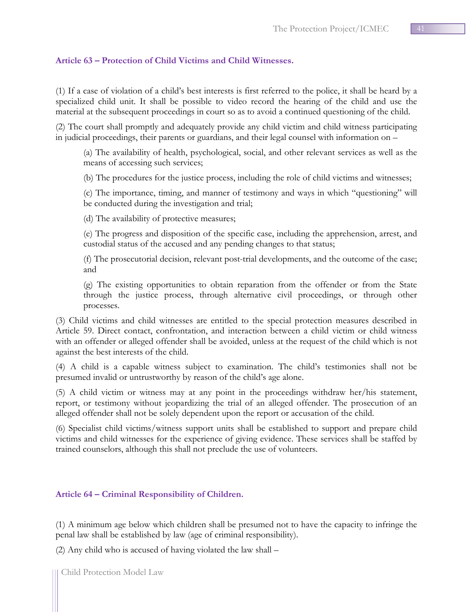## <span id="page-40-0"></span>**Article 63 – Protection of Child Victims and Child Witnesses.**

(1) If a case of violation of a child's best interests is first referred to the police, it shall be heard by a specialized child unit. It shall be possible to video record the hearing of the child and use the material at the subsequent proceedings in court so as to avoid a continued questioning of the child.

(2) The court shall promptly and adequately provide any child victim and child witness participating in judicial proceedings, their parents or guardians, and their legal counsel with information on –

(a) The availability of health, psychological, social, and other relevant services as well as the means of accessing such services;

(b) The procedures for the justice process, including the role of child victims and witnesses;

(c) The importance, timing, and manner of testimony and ways in which "questioning" will be conducted during the investigation and trial;

(d) The availability of protective measures;

(e) The progress and disposition of the specific case, including the apprehension, arrest, and custodial status of the accused and any pending changes to that status;

(f) The prosecutorial decision, relevant post-trial developments, and the outcome of the case; and

(g) The existing opportunities to obtain reparation from the offender or from the State through the justice process, through alternative civil proceedings, or through other processes.

(3) Child victims and child witnesses are entitled to the special protection measures described in Article 59. Direct contact, confrontation, and interaction between a child victim or child witness with an offender or alleged offender shall be avoided, unless at the request of the child which is not against the best interests of the child.

(4) A child is a capable witness subject to examination. The child's testimonies shall not be presumed invalid or untrustworthy by reason of the child's age alone.

(5) A child victim or witness may at any point in the proceedings withdraw her/his statement, report, or testimony without jeopardizing the trial of an alleged offender. The prosecution of an alleged offender shall not be solely dependent upon the report or accusation of the child.

(6) Specialist child victims/witness support units shall be established to support and prepare child victims and child witnesses for the experience of giving evidence. These services shall be staffed by trained counselors, although this shall not preclude the use of volunteers.

## <span id="page-40-1"></span>**Article 64 – Criminal Responsibility of Children.**

(1) A minimum age below which children shall be presumed not to have the capacity to infringe the penal law shall be established by law (age of criminal responsibility).

(2) Any child who is accused of having violated the law shall –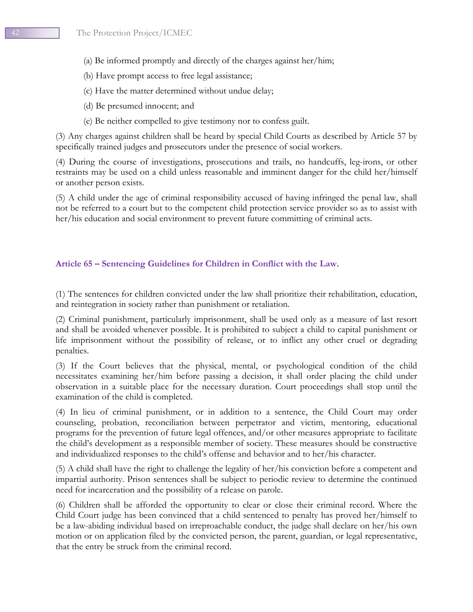- (a) Be informed promptly and directly of the charges against her/him;
- (b) Have prompt access to free legal assistance;
- (c) Have the matter determined without undue delay;
- (d) Be presumed innocent; and
- (e) Be neither compelled to give testimony nor to confess guilt.

(3) Any charges against children shall be heard by special Child Courts as described by Article 57 by specifically trained judges and prosecutors under the presence of social workers.

(4) During the course of investigations, prosecutions and trails, no handcuffs, leg-irons, or other restraints may be used on a child unless reasonable and imminent danger for the child her/himself or another person exists.

(5) A child under the age of criminal responsibility accused of having infringed the penal law, shall not be referred to a court but to the competent child protection service provider so as to assist with her/his education and social environment to prevent future committing of criminal acts.

## <span id="page-41-0"></span>**Article 65 – Sentencing Guidelines for Children in Conflict with the Law.**

(1) The sentences for children convicted under the law shall prioritize their rehabilitation, education, and reintegration in society rather than punishment or retaliation.

(2) Criminal punishment, particularly imprisonment, shall be used only as a measure of last resort and shall be avoided whenever possible. It is prohibited to subject a child to capital punishment or life imprisonment without the possibility of release, or to inflict any other cruel or degrading penalties.

(3) If the Court believes that the physical, mental, or psychological condition of the child necessitates examining her/him before passing a decision, it shall order placing the child under observation in a suitable place for the necessary duration. Court proceedings shall stop until the examination of the child is completed.

(4) In lieu of criminal punishment, or in addition to a sentence, the Child Court may order counseling, probation, reconciliation between perpetrator and victim, mentoring, educational programs for the prevention of future legal offences, and/or other measures appropriate to facilitate the child's development as a responsible member of society. These measures should be constructive and individualized responses to the child's offense and behavior and to her/his character.

(5) A child shall have the right to challenge the legality of her/his conviction before a competent and impartial authority. Prison sentences shall be subject to periodic review to determine the continued need for incarceration and the possibility of a release on parole.

(6) Children shall be afforded the opportunity to clear or close their criminal record. Where the Child Court judge has been convinced that a child sentenced to penalty has proved her/himself to be a law-abiding individual based on irreproachable conduct, the judge shall declare on her/his own motion or on application filed by the convicted person, the parent, guardian, or legal representative, that the entry be struck from the criminal record.